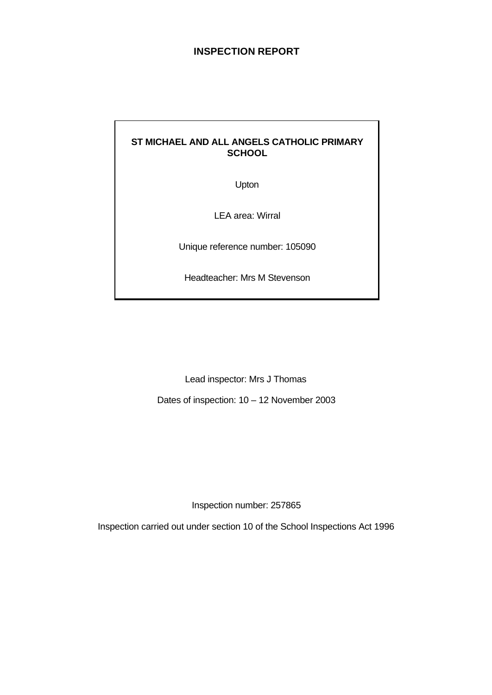# **INSPECTION REPORT**

# **ST MICHAEL AND ALL ANGELS CATHOLIC PRIMARY SCHOOL**

Upton

LEA area: Wirral

Unique reference number: 105090

Headteacher: Mrs M Stevenson

Lead inspector: Mrs J Thomas

Dates of inspection: 10 – 12 November 2003

Inspection number: 257865

Inspection carried out under section 10 of the School Inspections Act 1996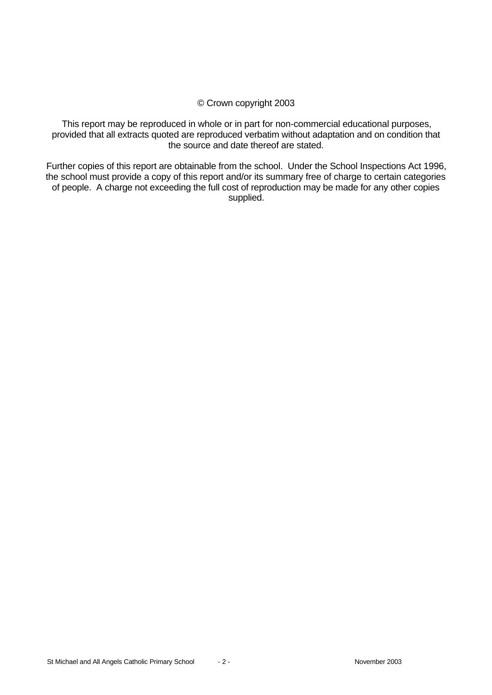## © Crown copyright 2003

This report may be reproduced in whole or in part for non-commercial educational purposes, provided that all extracts quoted are reproduced verbatim without adaptation and on condition that the source and date thereof are stated.

Further copies of this report are obtainable from the school. Under the School Inspections Act 1996, the school must provide a copy of this report and/or its summary free of charge to certain categories of people. A charge not exceeding the full cost of reproduction may be made for any other copies supplied.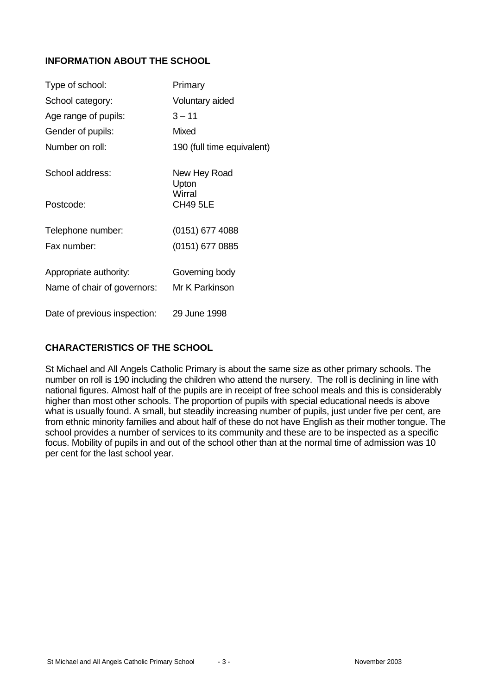# **INFORMATION ABOUT THE SCHOOL**

| Type of school:                                       | Primary                          |
|-------------------------------------------------------|----------------------------------|
| School category:                                      | Voluntary aided                  |
| Age range of pupils:                                  | $3 - 11$                         |
| Gender of pupils:                                     | Mixed                            |
| Number on roll:                                       | 190 (full time equivalent)       |
| School address:                                       | New Hey Road<br>Upton            |
| Postcode:                                             | Wirral<br><b>CH49 5LE</b>        |
| Telephone number:                                     | (0151) 677 4088                  |
| Fax number:                                           | (0151) 677 0885                  |
| Appropriate authority:<br>Name of chair of governors: | Governing body<br>Mr K Parkinson |
| Date of previous inspection:                          | 29 June 1998                     |

# **CHARACTERISTICS OF THE SCHOOL**

St Michael and All Angels Catholic Primary is about the same size as other primary schools. The number on roll is 190 including the children who attend the nursery. The roll is declining in line with national figures. Almost half of the pupils are in receipt of free school meals and this is considerably higher than most other schools. The proportion of pupils with special educational needs is above what is usually found. A small, but steadily increasing number of pupils, just under five per cent, are from ethnic minority families and about half of these do not have English as their mother tongue. The school provides a number of services to its community and these are to be inspected as a specific focus. Mobility of pupils in and out of the school other than at the normal time of admission was 10 per cent for the last school year.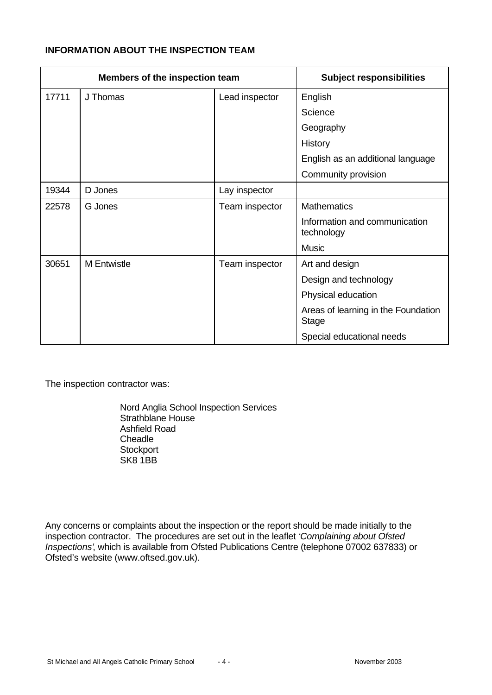# **INFORMATION ABOUT THE INSPECTION TEAM**

| Members of the inspection team |                    | <b>Subject responsibilities</b> |                                                     |
|--------------------------------|--------------------|---------------------------------|-----------------------------------------------------|
| 17711                          | J Thomas           | Lead inspector                  | English                                             |
|                                |                    |                                 | Science                                             |
|                                |                    |                                 | Geography                                           |
|                                |                    |                                 | History                                             |
|                                |                    |                                 | English as an additional language                   |
|                                |                    |                                 | Community provision                                 |
| 19344                          | D Jones            | Lay inspector                   |                                                     |
| 22578                          | G Jones            | Team inspector                  | <b>Mathematics</b>                                  |
|                                |                    |                                 | Information and communication<br>technology         |
|                                |                    |                                 | <b>Music</b>                                        |
| 30651                          | <b>M</b> Entwistle | Team inspector                  | Art and design                                      |
|                                |                    |                                 | Design and technology                               |
|                                |                    |                                 | Physical education                                  |
|                                |                    |                                 | Areas of learning in the Foundation<br><b>Stage</b> |
|                                |                    |                                 | Special educational needs                           |

The inspection contractor was:

Nord Anglia School Inspection Services Strathblane House Ashfield Road **Cheadle Stockport** SK8 1BB

Any concerns or complaints about the inspection or the report should be made initially to the inspection contractor. The procedures are set out in the leaflet *'Complaining about Ofsted Inspections'*, which is available from Ofsted Publications Centre (telephone 07002 637833) or Ofsted's website (www.oftsed.gov.uk).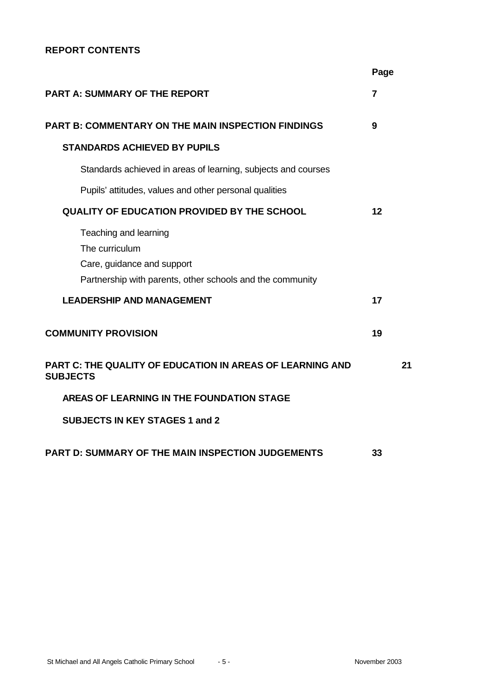# **REPORT CONTENTS**

|                                                                                                                                    | Page |
|------------------------------------------------------------------------------------------------------------------------------------|------|
| <b>PART A: SUMMARY OF THE REPORT</b>                                                                                               | 7    |
| <b>PART B: COMMENTARY ON THE MAIN INSPECTION FINDINGS</b>                                                                          | 9    |
| <b>STANDARDS ACHIEVED BY PUPILS</b>                                                                                                |      |
| Standards achieved in areas of learning, subjects and courses                                                                      |      |
| Pupils' attitudes, values and other personal qualities                                                                             |      |
| <b>QUALITY OF EDUCATION PROVIDED BY THE SCHOOL</b>                                                                                 | 12   |
| Teaching and learning<br>The curriculum<br>Care, guidance and support<br>Partnership with parents, other schools and the community |      |
| <b>LEADERSHIP AND MANAGEMENT</b>                                                                                                   | 17   |
| <b>COMMUNITY PROVISION</b>                                                                                                         | 19   |
| <b>PART C: THE QUALITY OF EDUCATION IN AREAS OF LEARNING AND</b><br><b>SUBJECTS</b>                                                | 21   |
| AREAS OF LEARNING IN THE FOUNDATION STAGE                                                                                          |      |
| <b>SUBJECTS IN KEY STAGES 1 and 2</b>                                                                                              |      |
| <b>PART D: SUMMARY OF THE MAIN INSPECTION JUDGEMENTS</b>                                                                           | 33   |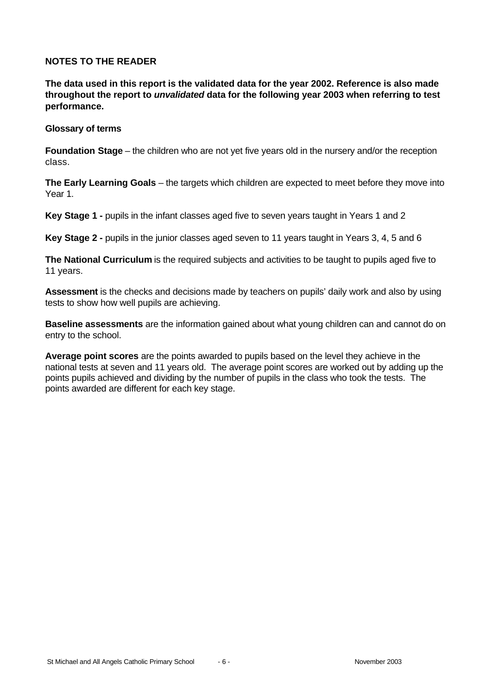## **NOTES TO THE READER**

**The data used in this report is the validated data for the year 2002. Reference is also made throughout the report to** *unvalidated* **data for the following year 2003 when referring to test performance.**

#### **Glossary of terms**

**Foundation Stage** – the children who are not yet five years old in the nursery and/or the reception class.

**The Early Learning Goals** – the targets which children are expected to meet before they move into Year 1.

**Key Stage 1 -** pupils in the infant classes aged five to seven years taught in Years 1 and 2

**Key Stage 2 -** pupils in the junior classes aged seven to 11 years taught in Years 3, 4, 5 and 6

**The National Curriculum** is the required subjects and activities to be taught to pupils aged five to 11 years.

**Assessment** is the checks and decisions made by teachers on pupils' daily work and also by using tests to show how well pupils are achieving.

**Baseline assessments** are the information gained about what young children can and cannot do on entry to the school.

**Average point scores** are the points awarded to pupils based on the level they achieve in the national tests at seven and 11 years old. The average point scores are worked out by adding up the points pupils achieved and dividing by the number of pupils in the class who took the tests. The points awarded are different for each key stage.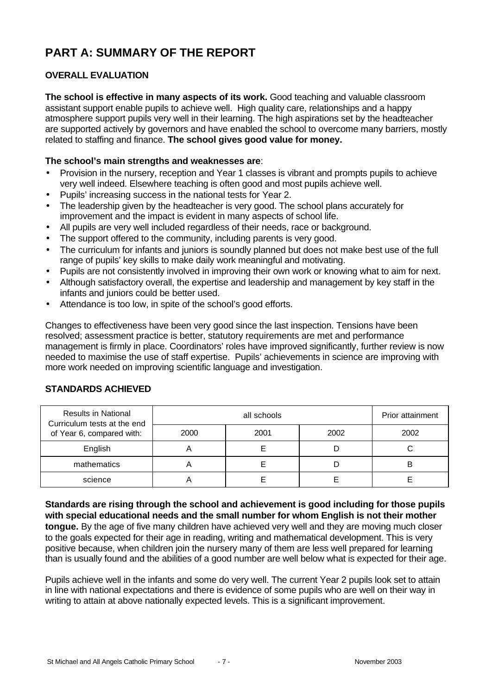# **PART A: SUMMARY OF THE REPORT**

# **OVERALL EVALUATION**

**The school is effective in many aspects of its work.** Good teaching and valuable classroom assistant support enable pupils to achieve well. High quality care, relationships and a happy atmosphere support pupils very well in their learning. The high aspirations set by the headteacher are supported actively by governors and have enabled the school to overcome many barriers, mostly related to staffing and finance. **The school gives good value for money.**

## **The school's main strengths and weaknesses are**:

- Provision in the nursery, reception and Year 1 classes is vibrant and prompts pupils to achieve very well indeed. Elsewhere teaching is often good and most pupils achieve well.
- Pupils' increasing success in the national tests for Year 2.
- The leadership given by the headteacher is very good. The school plans accurately for improvement and the impact is evident in many aspects of school life.
- All pupils are very well included regardless of their needs, race or background.
- The support offered to the community, including parents is very good.
- The curriculum for infants and juniors is soundly planned but does not make best use of the full range of pupils' key skills to make daily work meaningful and motivating.
- Pupils are not consistently involved in improving their own work or knowing what to aim for next.
- Although satisfactory overall, the expertise and leadership and management by key staff in the infants and juniors could be better used.
- Attendance is too low, in spite of the school's good efforts.

Changes to effectiveness have been very good since the last inspection. Tensions have been resolved; assessment practice is better, statutory requirements are met and performance management is firmly in place. Coordinators' roles have improved significantly, further review is now needed to maximise the use of staff expertise. Pupils' achievements in science are improving with more work needed on improving scientific language and investigation.

| <b>Results in National</b><br>Curriculum tests at the end |      | Prior attainment |      |      |
|-----------------------------------------------------------|------|------------------|------|------|
| of Year 6, compared with:                                 | 2000 | 2001             | 2002 | 2002 |
| English                                                   |      |                  |      |      |
| mathematics                                               |      |                  |      |      |
| science                                                   |      |                  |      |      |

# **STANDARDS ACHIEVED**

**Standards are rising through the school and achievement is good including for those pupils with special educational needs and the small number for whom English is not their mother tongue.** By the age of five many children have achieved very well and they are moving much closer to the goals expected for their age in reading, writing and mathematical development. This is very positive because, when children join the nursery many of them are less well prepared for learning than is usually found and the abilities of a good number are well below what is expected for their age.

Pupils achieve well in the infants and some do very well. The current Year 2 pupils look set to attain in line with national expectations and there is evidence of some pupils who are well on their way in writing to attain at above nationally expected levels. This is a significant improvement.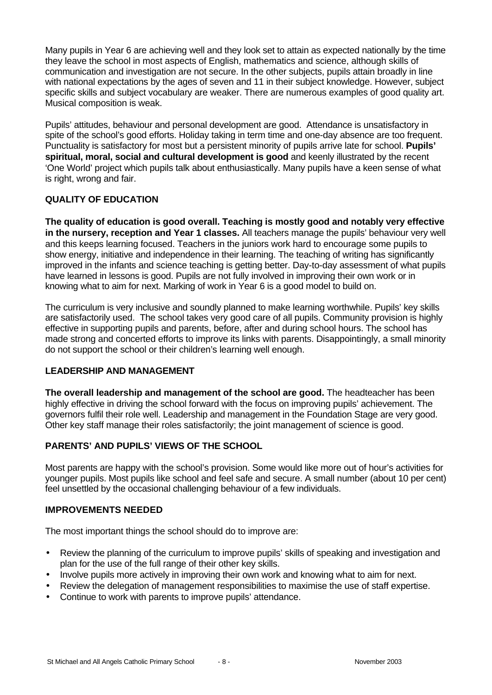Many pupils in Year 6 are achieving well and they look set to attain as expected nationally by the time they leave the school in most aspects of English, mathematics and science, although skills of communication and investigation are not secure. In the other subjects, pupils attain broadly in line with national expectations by the ages of seven and 11 in their subject knowledge. However, subject specific skills and subject vocabulary are weaker. There are numerous examples of good quality art. Musical composition is weak.

Pupils' attitudes, behaviour and personal development are good. Attendance is unsatisfactory in spite of the school's good efforts. Holiday taking in term time and one-day absence are too frequent. Punctuality is satisfactory for most but a persistent minority of pupils arrive late for school. **Pupils' spiritual, moral, social and cultural development is good** and keenly illustrated by the recent 'One World' project which pupils talk about enthusiastically. Many pupils have a keen sense of what is right, wrong and fair.

# **QUALITY OF EDUCATION**

**The quality of education is good overall. Teaching is mostly good and notably very effective in the nursery, reception and Year 1 classes.** All teachers manage the pupils' behaviour very well and this keeps learning focused. Teachers in the juniors work hard to encourage some pupils to show energy, initiative and independence in their learning. The teaching of writing has significantly improved in the infants and science teaching is getting better. Day-to-day assessment of what pupils have learned in lessons is good. Pupils are not fully involved in improving their own work or in knowing what to aim for next. Marking of work in Year 6 is a good model to build on.

The curriculum is very inclusive and soundly planned to make learning worthwhile. Pupils' key skills are satisfactorily used. The school takes very good care of all pupils. Community provision is highly effective in supporting pupils and parents, before, after and during school hours. The school has made strong and concerted efforts to improve its links with parents. Disappointingly, a small minority do not support the school or their children's learning well enough.

#### **LEADERSHIP AND MANAGEMENT**

**The overall leadership and management of the school are good.** The headteacher has been highly effective in driving the school forward with the focus on improving pupils' achievement. The governors fulfil their role well. Leadership and management in the Foundation Stage are very good. Other key staff manage their roles satisfactorily; the joint management of science is good.

# **PARENTS' AND PUPILS' VIEWS OF THE SCHOOL**

Most parents are happy with the school's provision. Some would like more out of hour's activities for younger pupils. Most pupils like school and feel safe and secure. A small number (about 10 per cent) feel unsettled by the occasional challenging behaviour of a few individuals.

#### **IMPROVEMENTS NEEDED**

The most important things the school should do to improve are:

- Review the planning of the curriculum to improve pupils' skills of speaking and investigation and plan for the use of the full range of their other key skills.
- Involve pupils more actively in improving their own work and knowing what to aim for next.
- Review the delegation of management responsibilities to maximise the use of staff expertise.
- Continue to work with parents to improve pupils' attendance.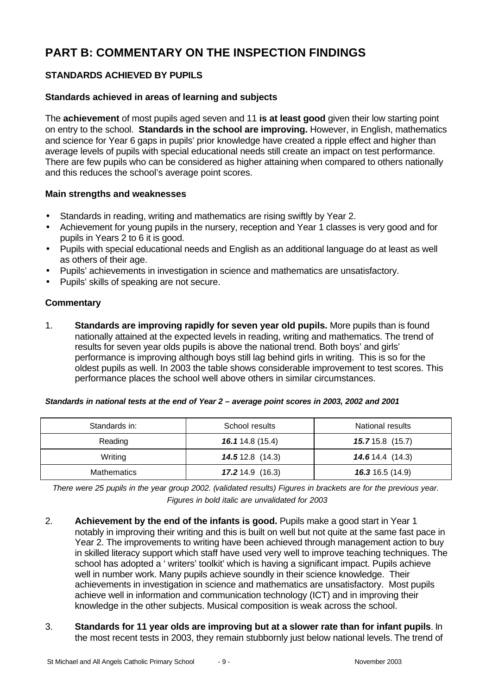# **PART B: COMMENTARY ON THE INSPECTION FINDINGS**

# **STANDARDS ACHIEVED BY PUPILS**

# **Standards achieved in areas of learning and subjects**

The **achievement** of most pupils aged seven and 11 **is at least good** given their low starting point on entry to the school. **Standards in the school are improving.** However, in English, mathematics and science for Year 6 gaps in pupils' prior knowledge have created a ripple effect and higher than average levels of pupils with special educational needs still create an impact on test performance. There are few pupils who can be considered as higher attaining when compared to others nationally and this reduces the school's average point scores.

#### **Main strengths and weaknesses**

- Standards in reading, writing and mathematics are rising swiftly by Year 2.
- Achievement for young pupils in the nursery, reception and Year 1 classes is very good and for pupils in Years 2 to 6 it is good.
- Pupils with special educational needs and English as an additional language do at least as well as others of their age.
- Pupils' achievements in investigation in science and mathematics are unsatisfactory.
- Pupils' skills of speaking are not secure.

# **Commentary**

1. **Standards are improving rapidly for seven year old pupils.** More pupils than is found nationally attained at the expected levels in reading, writing and mathematics. The trend of results for seven year olds pupils is above the national trend. Both boys' and girls' performance is improving although boys still lag behind girls in writing. This is so for the oldest pupils as well. In 2003 the table shows considerable improvement to test scores. This performance places the school well above others in similar circumstances.

| Standards in:      | School results          | National results          |
|--------------------|-------------------------|---------------------------|
| Reading            | <b>16.1</b> 14.8 (15.4) | $15.715.8$ (15.7)         |
| Writing            | 14.512.8(14.3)          | <b>14.6</b> 14.4 $(14.3)$ |
| <b>Mathematics</b> | 17.214.9(16.3)          | <b>16.3</b> 16.5 (14.9)   |

*There were 25 pupils in the year group 2002. (validated results) Figures in brackets are for the previous year. Figures in bold italic are unvalidated for 2003*

- 2. **Achievement by the end of the infants is good.** Pupils make a good start in Year 1 notably in improving their writing and this is built on well but not quite at the same fast pace in Year 2. The improvements to writing have been achieved through management action to buy in skilled literacy support which staff have used very well to improve teaching techniques. The school has adopted a ' writers' toolkit' which is having a significant impact. Pupils achieve well in number work. Many pupils achieve soundly in their science knowledge. Their achievements in investigation in science and mathematics are unsatisfactory. Most pupils achieve well in information and communication technology (ICT) and in improving their knowledge in the other subjects. Musical composition is weak across the school.
- 3. **Standards for 11 year olds are improving but at a slower rate than for infant pupils**. In the most recent tests in 2003, they remain stubbornly just below national levels. The trend of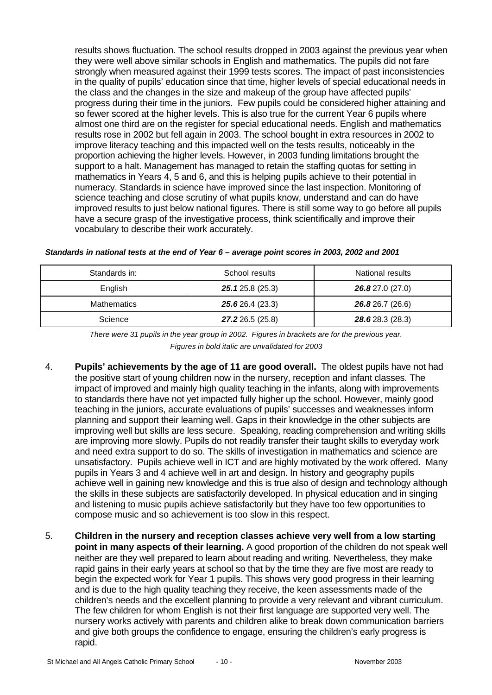results shows fluctuation. The school results dropped in 2003 against the previous year when they were well above similar schools in English and mathematics. The pupils did not fare strongly when measured against their 1999 tests scores. The impact of past inconsistencies in the quality of pupils' education since that time, higher levels of special educational needs in the class and the changes in the size and makeup of the group have affected pupils' progress during their time in the juniors. Few pupils could be considered higher attaining and so fewer scored at the higher levels. This is also true for the current Year 6 pupils where almost one third are on the register for special educational needs. English and mathematics results rose in 2002 but fell again in 2003. The school bought in extra resources in 2002 to improve literacy teaching and this impacted well on the tests results, noticeably in the proportion achieving the higher levels. However, in 2003 funding limitations brought the support to a halt. Management has managed to retain the staffing quotas for setting in mathematics in Years 4, 5 and 6, and this is helping pupils achieve to their potential in numeracy. Standards in science have improved since the last inspection. Monitoring of science teaching and close scrutiny of what pupils know, understand and can do have improved results to just below national figures. There is still some way to go before all pupils have a secure grasp of the investigative process, think scientifically and improve their vocabulary to describe their work accurately.

| Standards in:      | School results   | National results |
|--------------------|------------------|------------------|
| English            | 25.125.8(25.3)   | 26.827.0(27.0)   |
| <b>Mathematics</b> | 25.626.4(23.3)   | 26.826.7 (26.6)  |
| Science            | 27.2 26.5 (25.8) | 28.6 28.3 (28.3) |

*Standards in national tests at the end of Year 6 – average point scores in 2003, 2002 and 2001*

- 4. **Pupils' achievements by the age of 11 are good overall.** The oldest pupils have not had the positive start of young children now in the nursery, reception and infant classes. The impact of improved and mainly high quality teaching in the infants, along with improvements to standards there have not yet impacted fully higher up the school. However, mainly good teaching in the juniors, accurate evaluations of pupils' successes and weaknesses inform planning and support their learning well. Gaps in their knowledge in the other subjects are improving well but skills are less secure. Speaking, reading comprehension and writing skills are improving more slowly. Pupils do not readily transfer their taught skills to everyday work and need extra support to do so. The skills of investigation in mathematics and science are unsatisfactory. Pupils achieve well in ICT and are highly motivated by the work offered. Many pupils in Years 3 and 4 achieve well in art and design. In history and geography pupils achieve well in gaining new knowledge and this is true also of design and technology although the skills in these subjects are satisfactorily developed. In physical education and in singing and listening to music pupils achieve satisfactorily but they have too few opportunities to compose music and so achievement is too slow in this respect.
- 5. **Children in the nursery and reception classes achieve very well from a low starting point in many aspects of their learning.** A good proportion of the children do not speak well neither are they well prepared to learn about reading and writing. Nevertheless, they make rapid gains in their early years at school so that by the time they are five most are ready to begin the expected work for Year 1 pupils. This shows very good progress in their learning and is due to the high quality teaching they receive, the keen assessments made of the children's needs and the excellent planning to provide a very relevant and vibrant curriculum. The few children for whom English is not their first language are supported very well. The nursery works actively with parents and children alike to break down communication barriers and give both groups the confidence to engage, ensuring the children's early progress is rapid.

*There were 31 pupils in the year group in 2002. Figures in brackets are for the previous year. Figures in bold italic are unvalidated for 2003*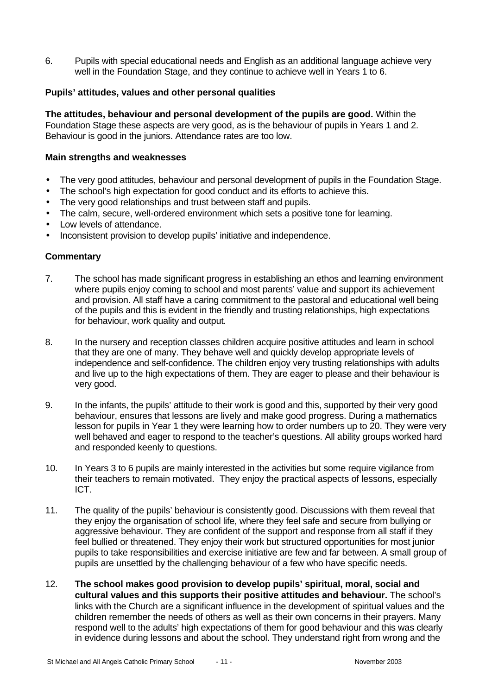6. Pupils with special educational needs and English as an additional language achieve very well in the Foundation Stage, and they continue to achieve well in Years 1 to 6.

#### **Pupils' attitudes, values and other personal qualities**

**The attitudes, behaviour and personal development of the pupils are good.** Within the Foundation Stage these aspects are very good, as is the behaviour of pupils in Years 1 and 2. Behaviour is good in the juniors. Attendance rates are too low.

#### **Main strengths and weaknesses**

- The very good attitudes, behaviour and personal development of pupils in the Foundation Stage.
- The school's high expectation for good conduct and its efforts to achieve this.
- The very good relationships and trust between staff and pupils.
- The calm, secure, well-ordered environment which sets a positive tone for learning.
- Low levels of attendance.
- Inconsistent provision to develop pupils' initiative and independence.

- 7. The school has made significant progress in establishing an ethos and learning environment where pupils enjoy coming to school and most parents' value and support its achievement and provision. All staff have a caring commitment to the pastoral and educational well being of the pupils and this is evident in the friendly and trusting relationships, high expectations for behaviour, work quality and output.
- 8. In the nursery and reception classes children acquire positive attitudes and learn in school that they are one of many. They behave well and quickly develop appropriate levels of independence and self-confidence. The children enjoy very trusting relationships with adults and live up to the high expectations of them. They are eager to please and their behaviour is very good.
- 9. In the infants, the pupils' attitude to their work is good and this, supported by their very good behaviour, ensures that lessons are lively and make good progress. During a mathematics lesson for pupils in Year 1 they were learning how to order numbers up to 20. They were very well behaved and eager to respond to the teacher's questions. All ability groups worked hard and responded keenly to questions.
- 10. In Years 3 to 6 pupils are mainly interested in the activities but some require vigilance from their teachers to remain motivated. They enjoy the practical aspects of lessons, especially ICT.
- 11. The quality of the pupils' behaviour is consistently good. Discussions with them reveal that they enjoy the organisation of school life, where they feel safe and secure from bullying or aggressive behaviour. They are confident of the support and response from all staff if they feel bullied or threatened. They enjoy their work but structured opportunities for most junior pupils to take responsibilities and exercise initiative are few and far between. A small group of pupils are unsettled by the challenging behaviour of a few who have specific needs.
- 12. **The school makes good provision to develop pupils' spiritual, moral, social and cultural values and this supports their positive attitudes and behaviour.** The school's links with the Church are a significant influence in the development of spiritual values and the children remember the needs of others as well as their own concerns in their prayers. Many respond well to the adults' high expectations of them for good behaviour and this was clearly in evidence during lessons and about the school. They understand right from wrong and the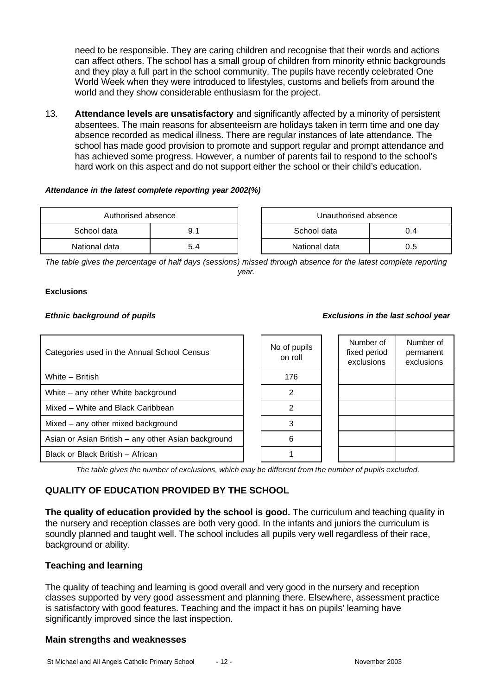need to be responsible. They are caring children and recognise that their words and actions can affect others. The school has a small group of children from minority ethnic backgrounds and they play a full part in the school community. The pupils have recently celebrated One World Week when they were introduced to lifestyles, customs and beliefs from around the world and they show considerable enthusiasm for the project.

13. **Attendance levels are unsatisfactory** and significantly affected by a minority of persistent absentees. The main reasons for absenteeism are holidays taken in term time and one day absence recorded as medical illness. There are regular instances of late attendance. The school has made good provision to promote and support regular and prompt attendance and has achieved some progress. However, a number of parents fail to respond to the school's hard work on this aspect and do not support either the school or their child's education.

#### *Attendance in the latest complete reporting year 2002(%)*

| Authorised absence |     |  | Unauthorised absence |     |
|--------------------|-----|--|----------------------|-----|
| School data        | 9.1 |  | School data          | 0.4 |
| National data      | 5.4 |  | National data        | 0.5 |

| Unauthorised absence |  |  |  |
|----------------------|--|--|--|
| School data<br>0.4   |  |  |  |
| National data<br>0.5 |  |  |  |

*The table gives the percentage of half days (sessions) missed through absence for the latest complete reporting year.*

#### **Exclusions**

#### *Ethnic background of pupils Exclusions in the last school year*

#### Categories used in the Annual School Census No of pupils on roll Number of fixed period exclusions Number of permanent exclusions White – British 176 White – any other White background and a set of the set of the set of the set of the set of the set of the set of the set of the set of the set of the set of the set of the set of the set of the set of the set of the set o Mixed – White and Black Caribbean 2 Mixed – any other mixed background and  $\vert$  | 3 Asian or Asian British – any other Asian background  $\begin{bmatrix} 1 & 1 \\ 0 & 6 \end{bmatrix}$ Black or Black British – African 1

*The table gives the number of exclusions, which may be different from the number of pupils excluded.*

# **QUALITY OF EDUCATION PROVIDED BY THE SCHOOL**

**The quality of education provided by the school is good.** The curriculum and teaching quality in the nursery and reception classes are both very good. In the infants and juniors the curriculum is soundly planned and taught well. The school includes all pupils very well regardless of their race, background or ability.

# **Teaching and learning**

The quality of teaching and learning is good overall and very good in the nursery and reception classes supported by very good assessment and planning there. Elsewhere, assessment practice is satisfactory with good features. Teaching and the impact it has on pupils' learning have significantly improved since the last inspection.

#### **Main strengths and weaknesses**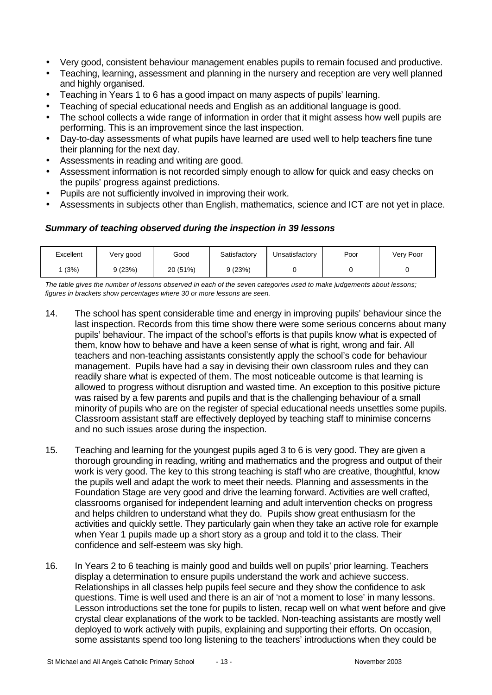- Very good, consistent behaviour management enables pupils to remain focused and productive.
- Teaching, learning, assessment and planning in the nursery and reception are very well planned and highly organised.
- Teaching in Years 1 to 6 has a good impact on many aspects of pupils' learning.
- Teaching of special educational needs and English as an additional language is good.
- The school collects a wide range of information in order that it might assess how well pupils are performing. This is an improvement since the last inspection.
- Day-to-day assessments of what pupils have learned are used well to help teachers fine tune their planning for the next day.
- Assessments in reading and writing are good.
- Assessment information is not recorded simply enough to allow for quick and easy checks on the pupils' progress against predictions.
- Pupils are not sufficiently involved in improving their work.
- Assessments in subjects other than English, mathematics, science and ICT are not yet in place.

# *Summary of teaching observed during the inspection in 39 lessons*

| Excellent | Very good | Good     | Satisfactory | Unsatisfactory | Poor | Very Poor |
|-----------|-----------|----------|--------------|----------------|------|-----------|
| (3%)      | ን (23%)   | 20 (51%) | 9(23%)       |                |      |           |

*The table gives the number of lessons observed in each of the seven categories used to make judgements about lessons; figures in brackets show percentages where 30 or more lessons are seen.*

- 14. The school has spent considerable time and energy in improving pupils' behaviour since the last inspection. Records from this time show there were some serious concerns about many pupils' behaviour. The impact of the school's efforts is that pupils know what is expected of them, know how to behave and have a keen sense of what is right, wrong and fair. All teachers and non-teaching assistants consistently apply the school's code for behaviour management. Pupils have had a say in devising their own classroom rules and they can readily share what is expected of them. The most noticeable outcome is that learning is allowed to progress without disruption and wasted time. An exception to this positive picture was raised by a few parents and pupils and that is the challenging behaviour of a small minority of pupils who are on the register of special educational needs unsettles some pupils. Classroom assistant staff are effectively deployed by teaching staff to minimise concerns and no such issues arose during the inspection.
- 15. Teaching and learning for the youngest pupils aged 3 to 6 is very good. They are given a thorough grounding in reading, writing and mathematics and the progress and output of their work is very good. The key to this strong teaching is staff who are creative, thoughtful, know the pupils well and adapt the work to meet their needs. Planning and assessments in the Foundation Stage are very good and drive the learning forward. Activities are well crafted, classrooms organised for independent learning and adult intervention checks on progress and helps children to understand what they do. Pupils show great enthusiasm for the activities and quickly settle. They particularly gain when they take an active role for example when Year 1 pupils made up a short story as a group and told it to the class. Their confidence and self-esteem was sky high.
- 16. In Years 2 to 6 teaching is mainly good and builds well on pupils' prior learning. Teachers display a determination to ensure pupils understand the work and achieve success. Relationships in all classes help pupils feel secure and they show the confidence to ask questions. Time is well used and there is an air of 'not a moment to lose' in many lessons. Lesson introductions set the tone for pupils to listen, recap well on what went before and give crystal clear explanations of the work to be tackled. Non-teaching assistants are mostly well deployed to work actively with pupils, explaining and supporting their efforts. On occasion, some assistants spend too long listening to the teachers' introductions when they could be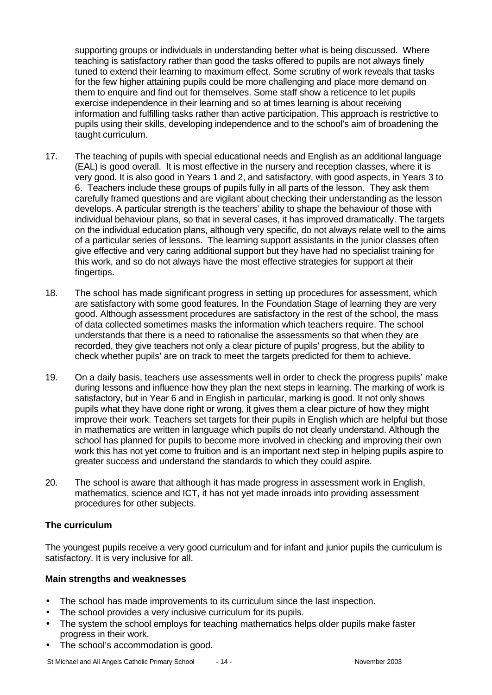supporting groups or individuals in understanding better what is being discussed. Where teaching is satisfactory rather than good the tasks offered to pupils are not always finely tuned to extend their learning to maximum effect. Some scrutiny of work reveals that tasks for the few higher attaining pupils could be more challenging and place more demand on them to enquire and find out for themselves. Some staff show a reticence to let pupils exercise independence in their learning and so at times learning is about receiving information and fulfilling tasks rather than active participation. This approach is restrictive to pupils using their skills, developing independence and to the school's aim of broadening the taught curriculum.

- 17. The teaching of pupils with special educational needs and English as an additional language (EAL) is good overall. It is most effective in the nursery and reception classes, where it is very good. It is also good in Years 1 and 2, and satisfactory, with good aspects, in Years 3 to 6. Teachers include these groups of pupils fully in all parts of the lesson. They ask them carefully framed questions and are vigilant about checking their understanding as the lesson develops. A particular strength is the teachers' ability to shape the behaviour of those with individual behaviour plans, so that in several cases, it has improved dramatically. The targets on the individual education plans, although very specific, do not always relate well to the aims of a particular series of lessons. The learning support assistants in the junior classes often give effective and very caring additional support but they have had no specialist training for this work, and so do not always have the most effective strategies for support at their fingertips.
- 18. The school has made significant progress in setting up procedures for assessment, which are satisfactory with some good features. In the Foundation Stage of learning they are very good. Although assessment procedures are satisfactory in the rest of the school, the mass of data collected sometimes masks the information which teachers require. The school understands that there is a need to rationalise the assessments so that when they are recorded, they give teachers not only a clear picture of pupils' progress, but the ability to check whether pupils' are on track to meet the targets predicted for them to achieve.
- 19. On a daily basis, teachers use assessments well in order to check the progress pupils' make during lessons and influence how they plan the next steps in learning. The marking of work is satisfactory, but in Year 6 and in English in particular, marking is good. It not only shows pupils what they have done right or wrong, it gives them a clear picture of how they might improve their work. Teachers set targets for their pupils in English which are helpful but those in mathematics are written in language which pupils do not clearly understand. Although the school has planned for pupils to become more involved in checking and improving their own work this has not yet come to fruition and is an important next step in helping pupils aspire to greater success and understand the standards to which they could aspire.
- 20. The school is aware that although it has made progress in assessment work in English, mathematics, science and ICT, it has not yet made inroads into providing assessment procedures for other subjects.

#### **The curriculum**

The youngest pupils receive a very good curriculum and for infant and junior pupils the curriculum is satisfactory. It is very inclusive for all.

#### **Main strengths and weaknesses**

- The school has made improvements to its curriculum since the last inspection.
- The school provides a very inclusive curriculum for its pupils.
- The system the school employs for teaching mathematics helps older pupils make faster progress in their work.
- The school's accommodation is good.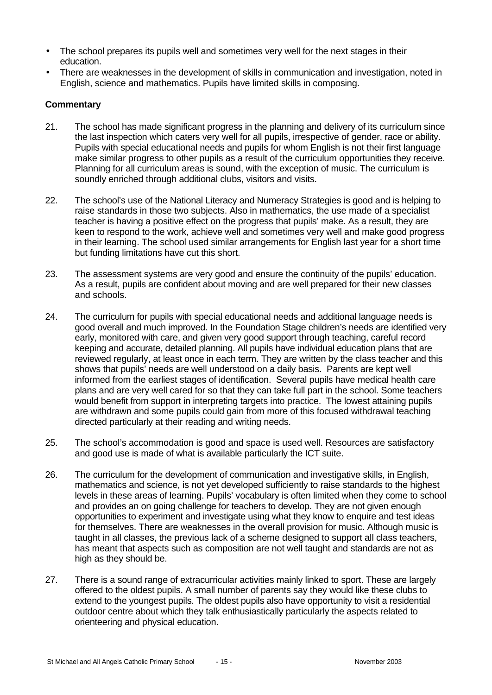- The school prepares its pupils well and sometimes very well for the next stages in their education.
- There are weaknesses in the development of skills in communication and investigation, noted in English, science and mathematics. Pupils have limited skills in composing.

- 21. The school has made significant progress in the planning and delivery of its curriculum since the last inspection which caters very well for all pupils, irrespective of gender, race or ability. Pupils with special educational needs and pupils for whom English is not their first language make similar progress to other pupils as a result of the curriculum opportunities they receive. Planning for all curriculum areas is sound, with the exception of music. The curriculum is soundly enriched through additional clubs, visitors and visits.
- 22. The school's use of the National Literacy and Numeracy Strategies is good and is helping to raise standards in those two subjects. Also in mathematics, the use made of a specialist teacher is having a positive effect on the progress that pupils' make. As a result, they are keen to respond to the work, achieve well and sometimes very well and make good progress in their learning. The school used similar arrangements for English last year for a short time but funding limitations have cut this short.
- 23. The assessment systems are very good and ensure the continuity of the pupils' education. As a result, pupils are confident about moving and are well prepared for their new classes and schools.
- 24. The curriculum for pupils with special educational needs and additional language needs is good overall and much improved. In the Foundation Stage children's needs are identified very early, monitored with care, and given very good support through teaching, careful record keeping and accurate, detailed planning. All pupils have individual education plans that are reviewed regularly, at least once in each term. They are written by the class teacher and this shows that pupils' needs are well understood on a daily basis. Parents are kept well informed from the earliest stages of identification. Several pupils have medical health care plans and are very well cared for so that they can take full part in the school. Some teachers would benefit from support in interpreting targets into practice. The lowest attaining pupils are withdrawn and some pupils could gain from more of this focused withdrawal teaching directed particularly at their reading and writing needs.
- 25. The school's accommodation is good and space is used well. Resources are satisfactory and good use is made of what is available particularly the ICT suite.
- 26. The curriculum for the development of communication and investigative skills, in English, mathematics and science, is not yet developed sufficiently to raise standards to the highest levels in these areas of learning. Pupils' vocabulary is often limited when they come to school and provides an on going challenge for teachers to develop. They are not given enough opportunities to experiment and investigate using what they know to enquire and test ideas for themselves. There are weaknesses in the overall provision for music. Although music is taught in all classes, the previous lack of a scheme designed to support all class teachers, has meant that aspects such as composition are not well taught and standards are not as high as they should be.
- 27. There is a sound range of extracurricular activities mainly linked to sport. These are largely offered to the oldest pupils. A small number of parents say they would like these clubs to extend to the youngest pupils. The oldest pupils also have opportunity to visit a residential outdoor centre about which they talk enthusiastically particularly the aspects related to orienteering and physical education.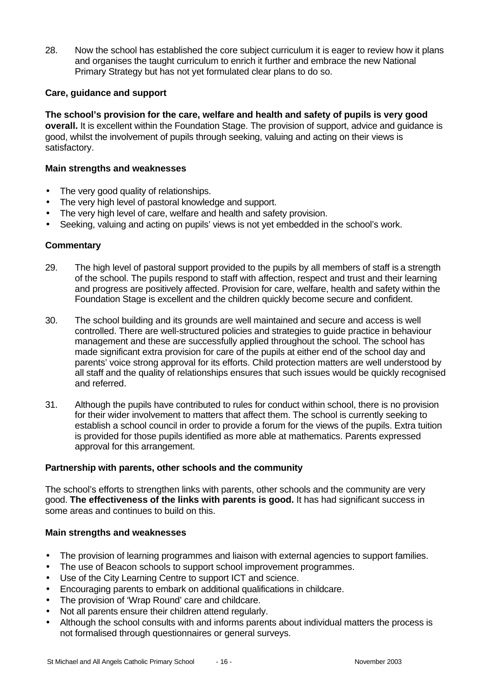28. Now the school has established the core subject curriculum it is eager to review how it plans and organises the taught curriculum to enrich it further and embrace the new National Primary Strategy but has not yet formulated clear plans to do so.

## **Care, guidance and support**

**The school's provision for the care, welfare and health and safety of pupils is very good overall.** It is excellent within the Foundation Stage. The provision of support, advice and guidance is good, whilst the involvement of pupils through seeking, valuing and acting on their views is satisfactory.

#### **Main strengths and weaknesses**

- The very good quality of relationships.
- The very high level of pastoral knowledge and support.
- The very high level of care, welfare and health and safety provision.
- Seeking, valuing and acting on pupils' views is not yet embedded in the school's work.

#### **Commentary**

- 29. The high level of pastoral support provided to the pupils by all members of staff is a strength of the school. The pupils respond to staff with affection, respect and trust and their learning and progress are positively affected. Provision for care, welfare, health and safety within the Foundation Stage is excellent and the children quickly become secure and confident.
- 30. The school building and its grounds are well maintained and secure and access is well controlled. There are well-structured policies and strategies to guide practice in behaviour management and these are successfully applied throughout the school. The school has made significant extra provision for care of the pupils at either end of the school day and parents' voice strong approval for its efforts. Child protection matters are well understood by all staff and the quality of relationships ensures that such issues would be quickly recognised and referred.
- 31. Although the pupils have contributed to rules for conduct within school, there is no provision for their wider involvement to matters that affect them. The school is currently seeking to establish a school council in order to provide a forum for the views of the pupils. Extra tuition is provided for those pupils identified as more able at mathematics. Parents expressed approval for this arrangement.

#### **Partnership with parents, other schools and the community**

The school's efforts to strengthen links with parents, other schools and the community are very good. **The effectiveness of the links with parents is good.** It has had significant success in some areas and continues to build on this.

#### **Main strengths and weaknesses**

- The provision of learning programmes and liaison with external agencies to support families.
- The use of Beacon schools to support school improvement programmes.
- Use of the City Learning Centre to support ICT and science.
- Encouraging parents to embark on additional qualifications in childcare.
- The provision of 'Wrap Round' care and childcare.
- Not all parents ensure their children attend regularly.
- Although the school consults with and informs parents about individual matters the process is not formalised through questionnaires or general surveys.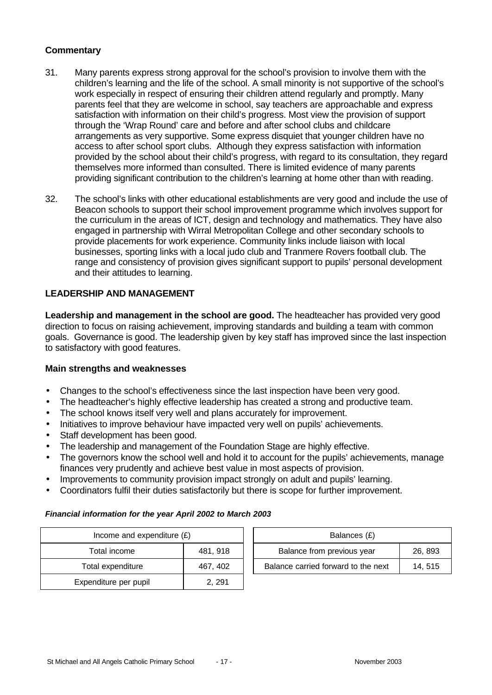## **Commentary**

- 31. Many parents express strong approval for the school's provision to involve them with the children's learning and the life of the school. A small minority is not supportive of the school's work especially in respect of ensuring their children attend regularly and promptly. Many parents feel that they are welcome in school, say teachers are approachable and express satisfaction with information on their child's progress. Most view the provision of support through the 'Wrap Round' care and before and after school clubs and childcare arrangements as very supportive. Some express disquiet that younger children have no access to after school sport clubs. Although they express satisfaction with information provided by the school about their child's progress, with regard to its consultation, they regard themselves more informed than consulted. There is limited evidence of many parents providing significant contribution to the children's learning at home other than with reading.
- 32. The school's links with other educational establishments are very good and include the use of Beacon schools to support their school improvement programme which involves support for the curriculum in the areas of ICT, design and technology and mathematics. They have also engaged in partnership with Wirral Metropolitan College and other secondary schools to provide placements for work experience. Community links include liaison with local businesses, sporting links with a local judo club and Tranmere Rovers football club. The range and consistency of provision gives significant support to pupils' personal development and their attitudes to learning.

#### **LEADERSHIP AND MANAGEMENT**

**Leadership and management in the school are good.** The headteacher has provided very good direction to focus on raising achievement, improving standards and building a team with common goals. Governance is good. The leadership given by key staff has improved since the last inspection to satisfactory with good features.

#### **Main strengths and weaknesses**

- Changes to the school's effectiveness since the last inspection have been very good.
- The headteacher's highly effective leadership has created a strong and productive team.
- The school knows itself very well and plans accurately for improvement.
- Initiatives to improve behaviour have impacted very well on pupils' achievements.
- Staff development has been good.
- The leadership and management of the Foundation Stage are highly effective.
- The governors know the school well and hold it to account for the pupils' achievements, manage finances very prudently and achieve best value in most aspects of provision.
- Improvements to community provision impact strongly on adult and pupils' learning.
- Coordinators fulfil their duties satisfactorily but there is scope for further improvement.

#### *Financial information for the year April 2002 to March 2003*

| Income and expenditure $(E)$ |          | Balances (£)                                  |  |  |
|------------------------------|----------|-----------------------------------------------|--|--|
| Total income                 | 481, 918 | Balance from previous year<br>26, 893         |  |  |
| Total expenditure            | 467, 402 | Balance carried forward to the next<br>14.515 |  |  |
| Expenditure per pupil        | 2, 291   |                                               |  |  |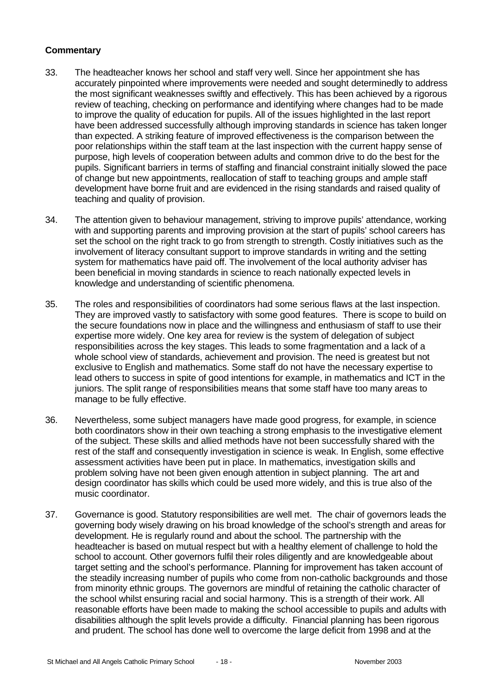- 33. The headteacher knows her school and staff very well. Since her appointment she has accurately pinpointed where improvements were needed and sought determinedly to address the most significant weaknesses swiftly and effectively. This has been achieved by a rigorous review of teaching, checking on performance and identifying where changes had to be made to improve the quality of education for pupils. All of the issues highlighted in the last report have been addressed successfully although improving standards in science has taken longer than expected. A striking feature of improved effectiveness is the comparison between the poor relationships within the staff team at the last inspection with the current happy sense of purpose, high levels of cooperation between adults and common drive to do the best for the pupils. Significant barriers in terms of staffing and financial constraint initially slowed the pace of change but new appointments, reallocation of staff to teaching groups and ample staff development have borne fruit and are evidenced in the rising standards and raised quality of teaching and quality of provision.
- 34. The attention given to behaviour management, striving to improve pupils' attendance, working with and supporting parents and improving provision at the start of pupils' school careers has set the school on the right track to go from strength to strength. Costly initiatives such as the involvement of literacy consultant support to improve standards in writing and the setting system for mathematics have paid off. The involvement of the local authority adviser has been beneficial in moving standards in science to reach nationally expected levels in knowledge and understanding of scientific phenomena.
- 35. The roles and responsibilities of coordinators had some serious flaws at the last inspection. They are improved vastly to satisfactory with some good features. There is scope to build on the secure foundations now in place and the willingness and enthusiasm of staff to use their expertise more widely. One key area for review is the system of delegation of subject responsibilities across the key stages. This leads to some fragmentation and a lack of a whole school view of standards, achievement and provision. The need is greatest but not exclusive to English and mathematics. Some staff do not have the necessary expertise to lead others to success in spite of good intentions for example, in mathematics and ICT in the juniors. The split range of responsibilities means that some staff have too many areas to manage to be fully effective.
- 36. Nevertheless, some subject managers have made good progress, for example, in science both coordinators show in their own teaching a strong emphasis to the investigative element of the subject. These skills and allied methods have not been successfully shared with the rest of the staff and consequently investigation in science is weak. In English, some effective assessment activities have been put in place. In mathematics, investigation skills and problem solving have not been given enough attention in subject planning. The art and design coordinator has skills which could be used more widely, and this is true also of the music coordinator.
- 37. Governance is good. Statutory responsibilities are well met. The chair of governors leads the governing body wisely drawing on his broad knowledge of the school's strength and areas for development. He is regularly round and about the school. The partnership with the headteacher is based on mutual respect but with a healthy element of challenge to hold the school to account. Other governors fulfil their roles diligently and are knowledgeable about target setting and the school's performance. Planning for improvement has taken account of the steadily increasing number of pupils who come from non-catholic backgrounds and those from minority ethnic groups. The governors are mindful of retaining the catholic character of the school whilst ensuring racial and social harmony. This is a strength of their work. All reasonable efforts have been made to making the school accessible to pupils and adults with disabilities although the split levels provide a difficulty. Financial planning has been rigorous and prudent. The school has done well to overcome the large deficit from 1998 and at the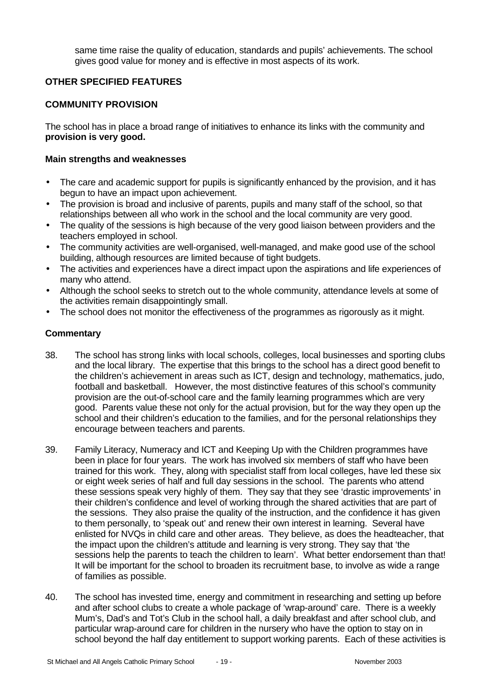same time raise the quality of education, standards and pupils' achievements. The school gives good value for money and is effective in most aspects of its work.

# **OTHER SPECIFIED FEATURES**

#### **COMMUNITY PROVISION**

The school has in place a broad range of initiatives to enhance its links with the community and **provision is very good.**

#### **Main strengths and weaknesses**

- The care and academic support for pupils is significantly enhanced by the provision, and it has begun to have an impact upon achievement.
- The provision is broad and inclusive of parents, pupils and many staff of the school, so that relationships between all who work in the school and the local community are very good.
- The quality of the sessions is high because of the very good liaison between providers and the teachers employed in school.
- The community activities are well-organised, well-managed, and make good use of the school building, although resources are limited because of tight budgets.
- The activities and experiences have a direct impact upon the aspirations and life experiences of many who attend.
- Although the school seeks to stretch out to the whole community, attendance levels at some of the activities remain disappointingly small.
- The school does not monitor the effectiveness of the programmes as rigorously as it might.

- 38. The school has strong links with local schools, colleges, local businesses and sporting clubs and the local library. The expertise that this brings to the school has a direct good benefit to the children's achievement in areas such as ICT, design and technology, mathematics, judo, football and basketball. However, the most distinctive features of this school's community provision are the out-of-school care and the family learning programmes which are very good. Parents value these not only for the actual provision, but for the way they open up the school and their children's education to the families, and for the personal relationships they encourage between teachers and parents.
- 39. Family Literacy, Numeracy and ICT and Keeping Up with the Children programmes have been in place for four years. The work has involved six members of staff who have been trained for this work. They, along with specialist staff from local colleges, have led these six or eight week series of half and full day sessions in the school. The parents who attend these sessions speak very highly of them. They say that they see 'drastic improvements' in their children's confidence and level of working through the shared activities that are part of the sessions. They also praise the quality of the instruction, and the confidence it has given to them personally, to 'speak out' and renew their own interest in learning. Several have enlisted for NVQs in child care and other areas. They believe, as does the headteacher, that the impact upon the children's attitude and learning is very strong. They say that 'the sessions help the parents to teach the children to learn'. What better endorsement than that! It will be important for the school to broaden its recruitment base, to involve as wide a range of families as possible.
- 40. The school has invested time, energy and commitment in researching and setting up before and after school clubs to create a whole package of 'wrap-around' care. There is a weekly Mum's, Dad's and Tot's Club in the school hall, a daily breakfast and after school club, and particular wrap-around care for children in the nursery who have the option to stay on in school beyond the half day entitlement to support working parents. Each of these activities is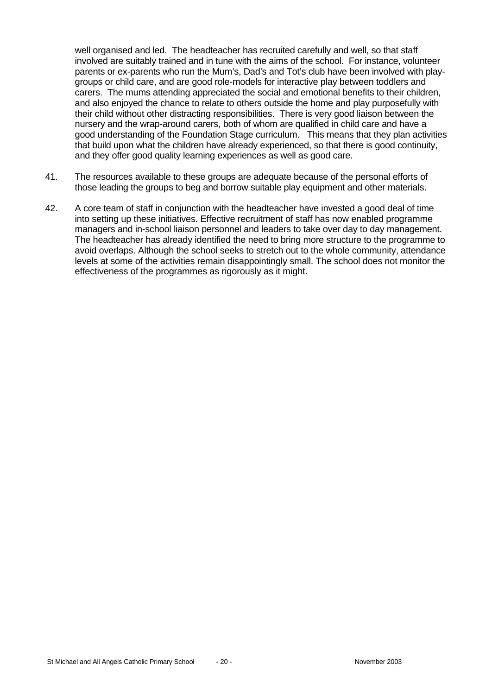well organised and led. The headteacher has recruited carefully and well, so that staff involved are suitably trained and in tune with the aims of the school. For instance, volunteer parents or ex-parents who run the Mum's, Dad's and Tot's club have been involved with playgroups or child care, and are good role-models for interactive play between toddlers and carers. The mums attending appreciated the social and emotional benefits to their children, and also enjoyed the chance to relate to others outside the home and play purposefully with their child without other distracting responsibilities. There is very good liaison between the nursery and the wrap-around carers, both of whom are qualified in child care and have a good understanding of the Foundation Stage curriculum. This means that they plan activities that build upon what the children have already experienced, so that there is good continuity, and they offer good quality learning experiences as well as good care.

- 41. The resources available to these groups are adequate because of the personal efforts of those leading the groups to beg and borrow suitable play equipment and other materials*.*
- 42. A core team of staff in conjunction with the headteacher have invested a good deal of time into setting up these initiatives. Effective recruitment of staff has now enabled programme managers and in-school liaison personnel and leaders to take over day to day management. The headteacher has already identified the need to bring more structure to the programme to avoid overlaps. Although the school seeks to stretch out to the whole community, attendance levels at some of the activities remain disappointingly small. The school does not monitor the effectiveness of the programmes as rigorously as it might.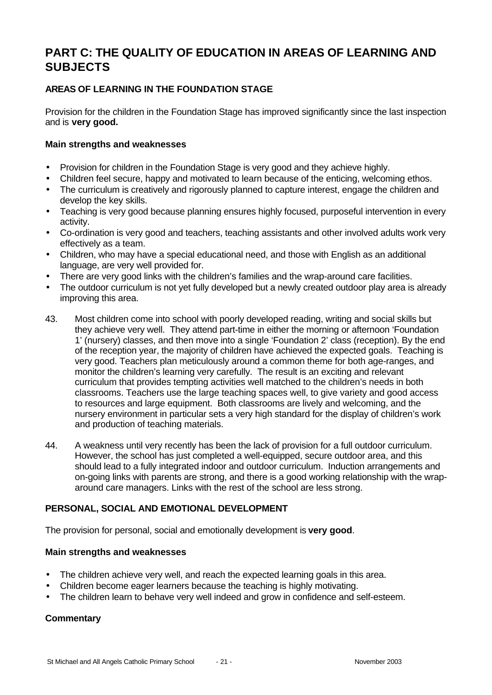# **PART C: THE QUALITY OF EDUCATION IN AREAS OF LEARNING AND SUBJECTS**

# **AREAS OF LEARNING IN THE FOUNDATION STAGE**

Provision for the children in the Foundation Stage has improved significantly since the last inspection and is **very good.**

#### **Main strengths and weaknesses**

- Provision for children in the Foundation Stage is very good and they achieve highly.
- Children feel secure, happy and motivated to learn because of the enticing, welcoming ethos.
- The curriculum is creatively and rigorously planned to capture interest, engage the children and develop the key skills.
- Teaching is very good because planning ensures highly focused, purposeful intervention in every activity.
- Co-ordination is very good and teachers, teaching assistants and other involved adults work very effectively as a team.
- Children, who may have a special educational need, and those with English as an additional language, are very well provided for.
- There are very good links with the children's families and the wrap-around care facilities.
- The outdoor curriculum is not yet fully developed but a newly created outdoor play area is already improving this area.
- 43. Most children come into school with poorly developed reading, writing and social skills but they achieve very well. They attend part-time in either the morning or afternoon 'Foundation 1' (nursery) classes, and then move into a single 'Foundation 2' class (reception). By the end of the reception year, the majority of children have achieved the expected goals. Teaching is very good. Teachers plan meticulously around a common theme for both age-ranges, and monitor the children's learning very carefully. The result is an exciting and relevant curriculum that provides tempting activities well matched to the children's needs in both classrooms. Teachers use the large teaching spaces well, to give variety and good access to resources and large equipment. Both classrooms are lively and welcoming, and the nursery environment in particular sets a very high standard for the display of children's work and production of teaching materials.
- 44. A weakness until very recently has been the lack of provision for a full outdoor curriculum. However, the school has just completed a well-equipped, secure outdoor area, and this should lead to a fully integrated indoor and outdoor curriculum. Induction arrangements and on-going links with parents are strong, and there is a good working relationship with the wraparound care managers. Links with the rest of the school are less strong.

# **PERSONAL, SOCIAL AND EMOTIONAL DEVELOPMENT**

The provision for personal, social and emotionally development is **very good**.

#### **Main strengths and weaknesses**

- The children achieve very well, and reach the expected learning goals in this area.
- Children become eager learners because the teaching is highly motivating.
- The children learn to behave very well indeed and grow in confidence and self-esteem.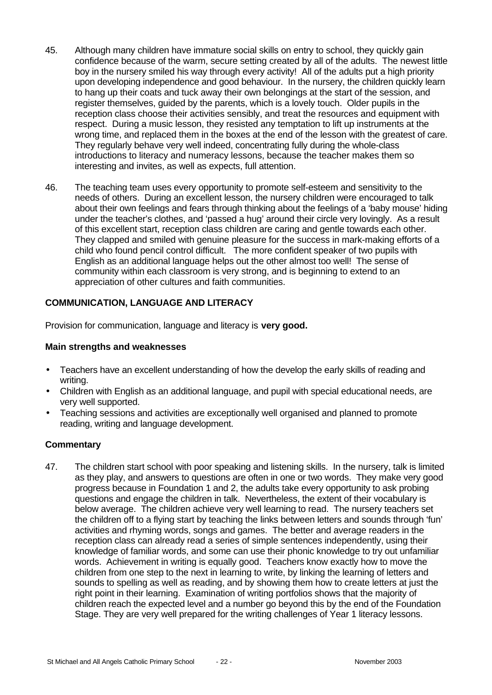- 45. Although many children have immature social skills on entry to school, they quickly gain confidence because of the warm, secure setting created by all of the adults. The newest little boy in the nursery smiled his way through every activity! All of the adults put a high priority upon developing independence and good behaviour. In the nursery, the children quickly learn to hang up their coats and tuck away their own belongings at the start of the session, and register themselves, guided by the parents, which is a lovely touch. Older pupils in the reception class choose their activities sensibly, and treat the resources and equipment with respect. During a music lesson, they resisted any temptation to lift up instruments at the wrong time, and replaced them in the boxes at the end of the lesson with the greatest of care. They regularly behave very well indeed, concentrating fully during the whole-class introductions to literacy and numeracy lessons, because the teacher makes them so interesting and invites, as well as expects, full attention.
- 46. The teaching team uses every opportunity to promote self-esteem and sensitivity to the needs of others. During an excellent lesson, the nursery children were encouraged to talk about their own feelings and fears through thinking about the feelings of a 'baby mouse' hiding under the teacher's clothes, and 'passed a hug' around their circle very lovingly. As a result of this excellent start, reception class children are caring and gentle towards each other. They clapped and smiled with genuine pleasure for the success in mark-making efforts of a child who found pencil control difficult. The more confident speaker of two pupils with English as an additional language helps out the other almost too well! The sense of community within each classroom is very strong, and is beginning to extend to an appreciation of other cultures and faith communities.

## **COMMUNICATION, LANGUAGE AND LITERACY**

Provision for communication, language and literacy is **very good.**

#### **Main strengths and weaknesses**

- Teachers have an excellent understanding of how the develop the early skills of reading and writing.
- Children with English as an additional language, and pupil with special educational needs, are very well supported.
- Teaching sessions and activities are exceptionally well organised and planned to promote reading, writing and language development.

#### **Commentary**

47. The children start school with poor speaking and listening skills. In the nursery, talk is limited as they play, and answers to questions are often in one or two words. They make very good progress because in Foundation 1 and 2, the adults take every opportunity to ask probing questions and engage the children in talk. Nevertheless, the extent of their vocabulary is below average. The children achieve very well learning to read. The nursery teachers set the children off to a flying start by teaching the links between letters and sounds through 'fun' activities and rhyming words, songs and games. The better and average readers in the reception class can already read a series of simple sentences independently, using their knowledge of familiar words, and some can use their phonic knowledge to try out unfamiliar words. Achievement in writing is equally good. Teachers know exactly how to move the children from one step to the next in learning to write, by linking the learning of letters and sounds to spelling as well as reading, and by showing them how to create letters at just the right point in their learning. Examination of writing portfolios shows that the majority of children reach the expected level and a number go beyond this by the end of the Foundation Stage. They are very well prepared for the writing challenges of Year 1 literacy lessons.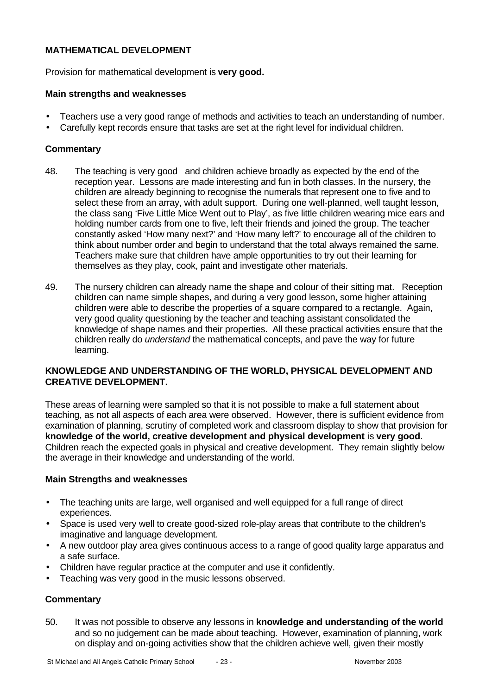# **MATHEMATICAL DEVELOPMENT**

Provision for mathematical development is **very good.**

#### **Main strengths and weaknesses**

- Teachers use a very good range of methods and activities to teach an understanding of number.
- Carefully kept records ensure that tasks are set at the right level for individual children.

#### **Commentary**

- 48. The teaching is very good and children achieve broadly as expected by the end of the reception year. Lessons are made interesting and fun in both classes. In the nursery, the children are already beginning to recognise the numerals that represent one to five and to select these from an array, with adult support. During one well-planned, well taught lesson, the class sang 'Five Little Mice Went out to Play', as five little children wearing mice ears and holding number cards from one to five, left their friends and joined the group. The teacher constantly asked 'How many next?' and 'How many left?' to encourage all of the children to think about number order and begin to understand that the total always remained the same. Teachers make sure that children have ample opportunities to try out their learning for themselves as they play, cook, paint and investigate other materials.
- 49. The nursery children can already name the shape and colour of their sitting mat. Reception children can name simple shapes, and during a very good lesson, some higher attaining children were able to describe the properties of a square compared to a rectangle. Again, very good quality questioning by the teacher and teaching assistant consolidated the knowledge of shape names and their properties. All these practical activities ensure that the children really do *understand* the mathematical concepts, and pave the way for future learning.

## **KNOWLEDGE AND UNDERSTANDING OF THE WORLD, PHYSICAL DEVELOPMENT AND CREATIVE DEVELOPMENT.**

These areas of learning were sampled so that it is not possible to make a full statement about teaching, as not all aspects of each area were observed. However, there is sufficient evidence from examination of planning, scrutiny of completed work and classroom display to show that provision for **knowledge of the world, creative development and physical development** is **very good**. Children reach the expected goals in physical and creative development. They remain slightly below the average in their knowledge and understanding of the world.

#### **Main Strengths and weaknesses**

- The teaching units are large, well organised and well equipped for a full range of direct experiences.
- Space is used very well to create good-sized role-play areas that contribute to the children's imaginative and language development.
- A new outdoor play area gives continuous access to a range of good quality large apparatus and a safe surface.
- Children have regular practice at the computer and use it confidently.
- Teaching was very good in the music lessons observed.

#### **Commentary**

50. It was not possible to observe any lessons in **knowledge and understanding of the world** and so no judgement can be made about teaching. However, examination of planning, work on display and on-going activities show that the children achieve well, given their mostly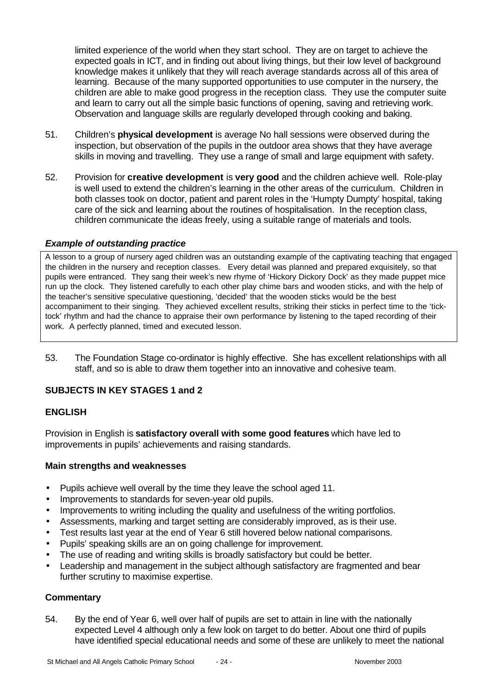limited experience of the world when they start school. They are on target to achieve the expected goals in ICT, and in finding out about living things, but their low level of background knowledge makes it unlikely that they will reach average standards across all of this area of learning. Because of the many supported opportunities to use computer in the nursery, the children are able to make good progress in the reception class. They use the computer suite and learn to carry out all the simple basic functions of opening, saving and retrieving work. Observation and language skills are regularly developed through cooking and baking.

- 51. Children's **physical development** is average No hall sessions were observed during the inspection, but observation of the pupils in the outdoor area shows that they have average skills in moving and travelling. They use a range of small and large equipment with safety.
- 52. Provision for **creative development** is **very good** and the children achieve well. Role-play is well used to extend the children's learning in the other areas of the curriculum. Children in both classes took on doctor, patient and parent roles in the 'Humpty Dumpty' hospital, taking care of the sick and learning about the routines of hospitalisation. In the reception class, children communicate the ideas freely, using a suitable range of materials and tools.

## *Example of outstanding practice*

A lesson to a group of nursery aged children was an outstanding example of the captivating teaching that engaged the children in the nursery and reception classes. Every detail was planned and prepared exquisitely, so that pupils were entranced. They sang their week's new rhyme of 'Hickory Dickory Dock' as they made puppet mice run up the clock. They listened carefully to each other play chime bars and wooden sticks, and with the help of the teacher's sensitive speculative questioning, 'decided' that the wooden sticks would be the best accompaniment to their singing. They achieved excellent results, striking their sticks in perfect time to the 'ticktock' rhythm and had the chance to appraise their own performance by listening to the taped recording of their work. A perfectly planned, timed and executed lesson.

53. The Foundation Stage co-ordinator is highly effective. She has excellent relationships with all staff, and so is able to draw them together into an innovative and cohesive team.

# **SUBJECTS IN KEY STAGES 1 and 2**

# **ENGLISH**

Provision in English is **satisfactory overall with some good features** which have led to improvements in pupils' achievements and raising standards.

#### **Main strengths and weaknesses**

- Pupils achieve well overall by the time they leave the school aged 11.
- Improvements to standards for seven-year old pupils.
- Improvements to writing including the quality and usefulness of the writing portfolios.
- Assessments, marking and target setting are considerably improved, as is their use.
- Test results last year at the end of Year 6 still hovered below national comparisons.
- Pupils' speaking skills are an on going challenge for improvement.
- The use of reading and writing skills is broadly satisfactory but could be better.
- Leadership and management in the subject although satisfactory are fragmented and bear further scrutiny to maximise expertise.

#### **Commentary**

54. By the end of Year 6, well over half of pupils are set to attain in line with the nationally expected Level 4 although only a few look on target to do better. About one third of pupils have identified special educational needs and some of these are unlikely to meet the national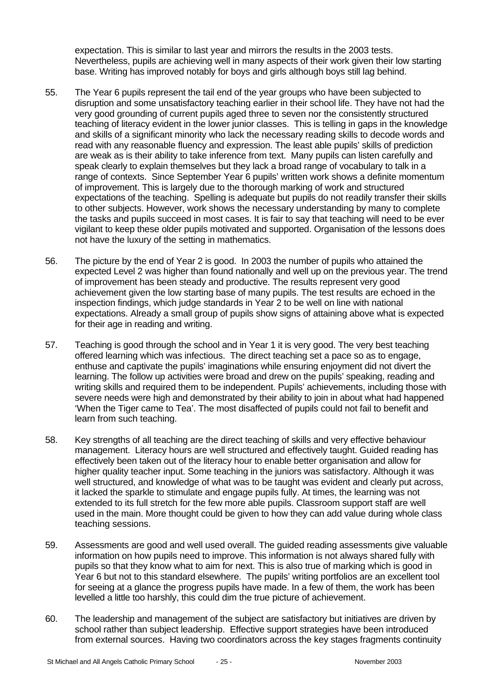expectation. This is similar to last year and mirrors the results in the 2003 tests. Nevertheless, pupils are achieving well in many aspects of their work given their low starting base. Writing has improved notably for boys and girls although boys still lag behind.

- 55. The Year 6 pupils represent the tail end of the year groups who have been subjected to disruption and some unsatisfactory teaching earlier in their school life. They have not had the very good grounding of current pupils aged three to seven nor the consistently structured teaching of literacy evident in the lower junior classes. This is telling in gaps in the knowledge and skills of a significant minority who lack the necessary reading skills to decode words and read with any reasonable fluency and expression. The least able pupils' skills of prediction are weak as is their ability to take inference from text. Many pupils can listen carefully and speak clearly to explain themselves but they lack a broad range of vocabulary to talk in a range of contexts. Since September Year 6 pupils' written work shows a definite momentum of improvement. This is largely due to the thorough marking of work and structured expectations of the teaching. Spelling is adequate but pupils do not readily transfer their skills to other subjects. However, work shows the necessary understanding by many to complete the tasks and pupils succeed in most cases. It is fair to say that teaching will need to be ever vigilant to keep these older pupils motivated and supported. Organisation of the lessons does not have the luxury of the setting in mathematics.
- 56. The picture by the end of Year 2 is good. In 2003 the number of pupils who attained the expected Level 2 was higher than found nationally and well up on the previous year. The trend of improvement has been steady and productive. The results represent very good achievement given the low starting base of many pupils. The test results are echoed in the inspection findings, which judge standards in Year 2 to be well on line with national expectations. Already a small group of pupils show signs of attaining above what is expected for their age in reading and writing.
- 57. Teaching is good through the school and in Year 1 it is very good. The very best teaching offered learning which was infectious. The direct teaching set a pace so as to engage, enthuse and captivate the pupils' imaginations while ensuring enjoyment did not divert the learning. The follow up activities were broad and drew on the pupils' speaking, reading and writing skills and required them to be independent. Pupils' achievements, including those with severe needs were high and demonstrated by their ability to join in about what had happened 'When the Tiger came to Tea'. The most disaffected of pupils could not fail to benefit and learn from such teaching.
- 58. Key strengths of all teaching are the direct teaching of skills and very effective behaviour management. Literacy hours are well structured and effectively taught. Guided reading has effectively been taken out of the literacy hour to enable better organisation and allow for higher quality teacher input. Some teaching in the juniors was satisfactory. Although it was well structured, and knowledge of what was to be taught was evident and clearly put across, it lacked the sparkle to stimulate and engage pupils fully. At times, the learning was not extended to its full stretch for the few more able pupils. Classroom support staff are well used in the main. More thought could be given to how they can add value during whole class teaching sessions.
- 59. Assessments are good and well used overall. The guided reading assessments give valuable information on how pupils need to improve. This information is not always shared fully with pupils so that they know what to aim for next. This is also true of marking which is good in Year 6 but not to this standard elsewhere. The pupils' writing portfolios are an excellent tool for seeing at a glance the progress pupils have made. In a few of them, the work has been levelled a little too harshly, this could dim the true picture of achievement.
- 60. The leadership and management of the subject are satisfactory but initiatives are driven by school rather than subject leadership. Effective support strategies have been introduced from external sources. Having two coordinators across the key stages fragments continuity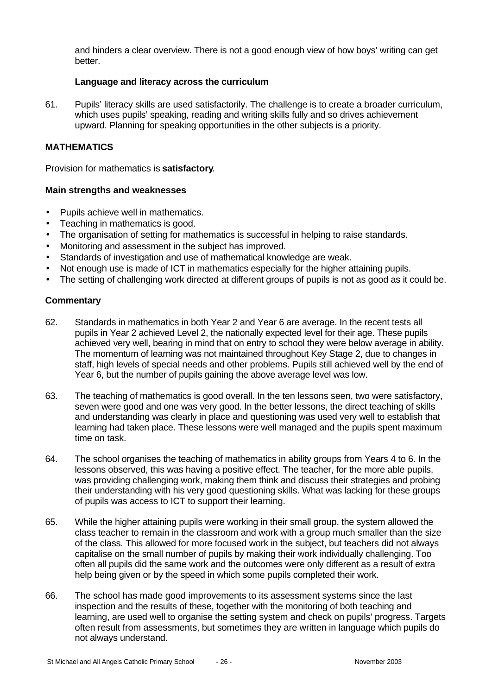and hinders a clear overview. There is not a good enough view of how boys' writing can get better.

#### **Language and literacy across the curriculum**

61. Pupils' literacy skills are used satisfactorily. The challenge is to create a broader curriculum, which uses pupils' speaking, reading and writing skills fully and so drives achievement upward. Planning for speaking opportunities in the other subjects is a priority.

#### **MATHEMATICS**

Provision for mathematics is **satisfactory**.

#### **Main strengths and weaknesses**

- Pupils achieve well in mathematics.
- Teaching in mathematics is good.
- The organisation of setting for mathematics is successful in helping to raise standards.
- Monitoring and assessment in the subject has improved.
- Standards of investigation and use of mathematical knowledge are weak.
- Not enough use is made of ICT in mathematics especially for the higher attaining pupils.
- The setting of challenging work directed at different groups of pupils is not as good as it could be.

- 62. Standards in mathematics in both Year 2 and Year 6 are average. In the recent tests all pupils in Year 2 achieved Level 2, the nationally expected level for their age. These pupils achieved very well, bearing in mind that on entry to school they were below average in ability. The momentum of learning was not maintained throughout Key Stage 2, due to changes in staff, high levels of special needs and other problems. Pupils still achieved well by the end of Year 6, but the number of pupils gaining the above average level was low.
- 63. The teaching of mathematics is good overall. In the ten lessons seen, two were satisfactory, seven were good and one was very good. In the better lessons, the direct teaching of skills and understanding was clearly in place and questioning was used very well to establish that learning had taken place. These lessons were well managed and the pupils spent maximum time on task.
- 64. The school organises the teaching of mathematics in ability groups from Years 4 to 6. In the lessons observed, this was having a positive effect. The teacher, for the more able pupils, was providing challenging work, making them think and discuss their strategies and probing their understanding with his very good questioning skills. What was lacking for these groups of pupils was access to ICT to support their learning.
- 65. While the higher attaining pupils were working in their small group, the system allowed the class teacher to remain in the classroom and work with a group much smaller than the size of the class. This allowed for more focused work in the subject, but teachers did not always capitalise on the small number of pupils by making their work individually challenging. Too often all pupils did the same work and the outcomes were only different as a result of extra help being given or by the speed in which some pupils completed their work.
- 66. The school has made good improvements to its assessment systems since the last inspection and the results of these, together with the monitoring of both teaching and learning, are used well to organise the setting system and check on pupils' progress. Targets often result from assessments, but sometimes they are written in language which pupils do not always understand.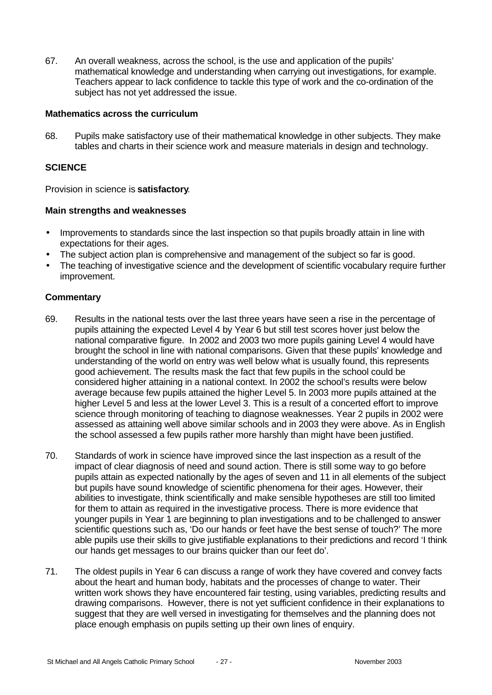67. An overall weakness, across the school, is the use and application of the pupils' mathematical knowledge and understanding when carrying out investigations, for example. Teachers appear to lack confidence to tackle this type of work and the co-ordination of the subject has not yet addressed the issue.

#### **Mathematics across the curriculum**

68. Pupils make satisfactory use of their mathematical knowledge in other subjects. They make tables and charts in their science work and measure materials in design and technology.

#### **SCIENCE**

Provision in science is **satisfactory**.

#### **Main strengths and weaknesses**

- Improvements to standards since the last inspection so that pupils broadly attain in line with expectations for their ages.
- The subject action plan is comprehensive and management of the subject so far is good.
- The teaching of investigative science and the development of scientific vocabulary require further improvement.

- 69. Results in the national tests over the last three years have seen a rise in the percentage of pupils attaining the expected Level 4 by Year 6 but still test scores hover just below the national comparative figure. In 2002 and 2003 two more pupils gaining Level 4 would have brought the school in line with national comparisons. Given that these pupils' knowledge and understanding of the world on entry was well below what is usually found, this represents good achievement. The results mask the fact that few pupils in the school could be considered higher attaining in a national context. In 2002 the school's results were below average because few pupils attained the higher Level 5. In 2003 more pupils attained at the higher Level 5 and less at the lower Level 3. This is a result of a concerted effort to improve science through monitoring of teaching to diagnose weaknesses. Year 2 pupils in 2002 were assessed as attaining well above similar schools and in 2003 they were above. As in English the school assessed a few pupils rather more harshly than might have been justified.
- 70. Standards of work in science have improved since the last inspection as a result of the impact of clear diagnosis of need and sound action. There is still some way to go before pupils attain as expected nationally by the ages of seven and 11 in all elements of the subject but pupils have sound knowledge of scientific phenomena for their ages. However, their abilities to investigate, think scientifically and make sensible hypotheses are still too limited for them to attain as required in the investigative process. There is more evidence that younger pupils in Year 1 are beginning to plan investigations and to be challenged to answer scientific questions such as, 'Do our hands or feet have the best sense of touch?' The more able pupils use their skills to give justifiable explanations to their predictions and record 'I think our hands get messages to our brains quicker than our feet do'.
- 71. The oldest pupils in Year 6 can discuss a range of work they have covered and convey facts about the heart and human body, habitats and the processes of change to water. Their written work shows they have encountered fair testing, using variables, predicting results and drawing comparisons. However, there is not yet sufficient confidence in their explanations to suggest that they are well versed in investigating for themselves and the planning does not place enough emphasis on pupils setting up their own lines of enquiry.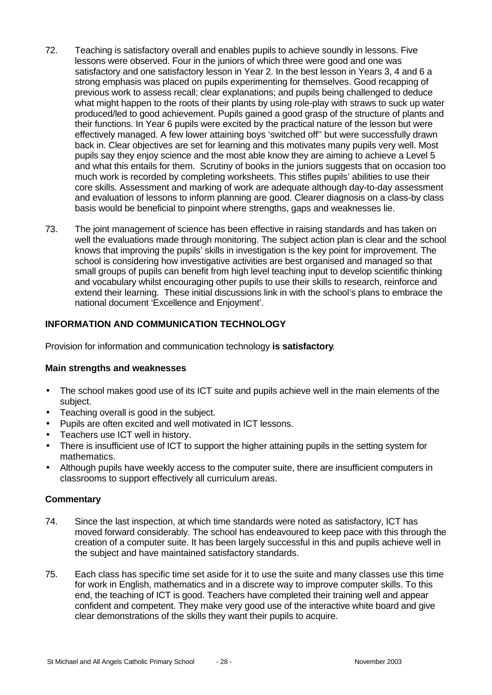- 72. Teaching is satisfactory overall and enables pupils to achieve soundly in lessons. Five lessons were observed. Four in the juniors of which three were good and one was satisfactory and one satisfactory lesson in Year 2. In the best lesson in Years 3, 4 and 6 a strong emphasis was placed on pupils experimenting for themselves. Good recapping of previous work to assess recall; clear explanations; and pupils being challenged to deduce what might happen to the roots of their plants by using role-play with straws to suck up water produced/led to good achievement. Pupils gained a good grasp of the structure of plants and their functions. In Year 6 pupils were excited by the practical nature of the lesson but were effectively managed. A few lower attaining boys 'switched off'' but were successfully drawn back in. Clear objectives are set for learning and this motivates many pupils very well. Most pupils say they enjoy science and the most able know they are aiming to achieve a Level 5 and what this entails for them. Scrutiny of books in the juniors suggests that on occasion too much work is recorded by completing worksheets. This stifles pupils' abilities to use their core skills. Assessment and marking of work are adequate although day-to-day assessment and evaluation of lessons to inform planning are good. Clearer diagnosis on a class-by class basis would be beneficial to pinpoint where strengths, gaps and weaknesses lie.
- 73. The joint management of science has been effective in raising standards and has taken on well the evaluations made through monitoring. The subject action plan is clear and the school knows that improving the pupils' skills in investigation is the key point for improvement. The school is considering how investigative activities are best organised and managed so that small groups of pupils can benefit from high level teaching input to develop scientific thinking and vocabulary whilst encouraging other pupils to use their skills to research, reinforce and extend their learning. These initial discussions link in with the school's plans to embrace the national document 'Excellence and Enjoyment'.

# **INFORMATION AND COMMUNICATION TECHNOLOGY**

Provision for information and communication technology **is satisfactory**.

#### **Main strengths and weaknesses**

- The school makes good use of its ICT suite and pupils achieve well in the main elements of the subject.
- Teaching overall is good in the subject.
- Pupils are often excited and well motivated in ICT lessons.
- Teachers use ICT well in history.
- There is insufficient use of ICT to support the higher attaining pupils in the setting system for mathematics.
- Although pupils have weekly access to the computer suite, there are insufficient computers in classrooms to support effectively all curriculum areas.

- 74. Since the last inspection, at which time standards were noted as satisfactory, ICT has moved forward considerably. The school has endeavoured to keep pace with this through the creation of a computer suite. It has been largely successful in this and pupils achieve well in the subject and have maintained satisfactory standards.
- 75. Each class has specific time set aside for it to use the suite and many classes use this time for work in English, mathematics and in a discrete way to improve computer skills. To this end, the teaching of ICT is good. Teachers have completed their training well and appear confident and competent. They make very good use of the interactive white board and give clear demonstrations of the skills they want their pupils to acquire.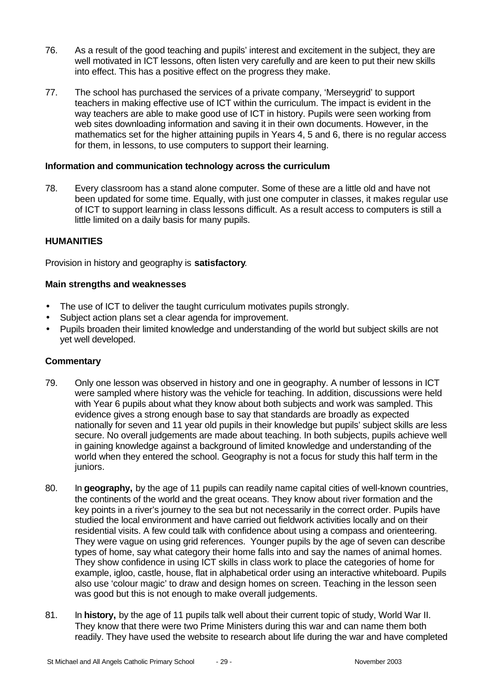- 76. As a result of the good teaching and pupils' interest and excitement in the subject, they are well motivated in ICT lessons, often listen very carefully and are keen to put their new skills into effect. This has a positive effect on the progress they make.
- 77. The school has purchased the services of a private company, 'Merseygrid' to support teachers in making effective use of ICT within the curriculum. The impact is evident in the way teachers are able to make good use of ICT in history. Pupils were seen working from web sites downloading information and saving it in their own documents. However, in the mathematics set for the higher attaining pupils in Years 4, 5 and 6, there is no regular access for them, in lessons, to use computers to support their learning.

#### **Information and communication technology across the curriculum**

78. Every classroom has a stand alone computer. Some of these are a little old and have not been updated for some time. Equally, with just one computer in classes, it makes regular use of ICT to support learning in class lessons difficult. As a result access to computers is still a little limited on a daily basis for many pupils.

#### **HUMANITIES**

Provision in history and geography is **satisfactory**.

#### **Main strengths and weaknesses**

- The use of ICT to deliver the taught curriculum motivates pupils strongly.
- Subject action plans set a clear agenda for improvement.
- Pupils broaden their limited knowledge and understanding of the world but subject skills are not yet well developed.

- 79. Only one lesson was observed in history and one in geography. A number of lessons in ICT were sampled where history was the vehicle for teaching. In addition, discussions were held with Year 6 pupils about what they know about both subjects and work was sampled. This evidence gives a strong enough base to say that standards are broadly as expected nationally for seven and 11 year old pupils in their knowledge but pupils' subject skills are less secure. No overall judgements are made about teaching. In both subjects, pupils achieve well in gaining knowledge against a background of limited knowledge and understanding of the world when they entered the school. Geography is not a focus for study this half term in the juniors.
- 80. In **geography,** by the age of 11 pupils can readily name capital cities of well-known countries, the continents of the world and the great oceans. They know about river formation and the key points in a river's journey to the sea but not necessarily in the correct order. Pupils have studied the local environment and have carried out fieldwork activities locally and on their residential visits. A few could talk with confidence about using a compass and orienteering. They were vague on using grid references. Younger pupils by the age of seven can describe types of home, say what category their home falls into and say the names of animal homes. They show confidence in using ICT skills in class work to place the categories of home for example, igloo, castle, house, flat in alphabetical order using an interactive whiteboard. Pupils also use 'colour magic' to draw and design homes on screen. Teaching in the lesson seen was good but this is not enough to make overall judgements.
- 81. In **history,** by the age of 11 pupils talk well about their current topic of study, World War II. They know that there were two Prime Ministers during this war and can name them both readily. They have used the website to research about life during the war and have completed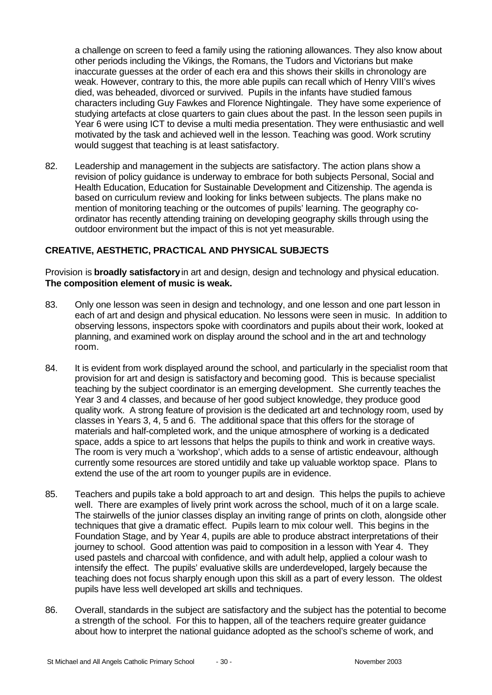a challenge on screen to feed a family using the rationing allowances. They also know about other periods including the Vikings, the Romans, the Tudors and Victorians but make inaccurate guesses at the order of each era and this shows their skills in chronology are weak. However, contrary to this, the more able pupils can recall which of Henry VIII's wives died, was beheaded, divorced or survived. Pupils in the infants have studied famous characters including Guy Fawkes and Florence Nightingale. They have some experience of studying artefacts at close quarters to gain clues about the past. In the lesson seen pupils in Year 6 were using ICT to devise a multi media presentation. They were enthusiastic and well motivated by the task and achieved well in the lesson. Teaching was good. Work scrutiny would suggest that teaching is at least satisfactory.

82. Leadership and management in the subjects are satisfactory. The action plans show a revision of policy guidance is underway to embrace for both subjects Personal, Social and Health Education, Education for Sustainable Development and Citizenship. The agenda is based on curriculum review and looking for links between subjects. The plans make no mention of monitoring teaching or the outcomes of pupils' learning. The geography coordinator has recently attending training on developing geography skills through using the outdoor environment but the impact of this is not yet measurable.

#### **CREATIVE, AESTHETIC, PRACTICAL AND PHYSICAL SUBJECTS**

Provision is **broadly satisfactory** in art and design, design and technology and physical education. **The composition element of music is weak.**

- 83. Only one lesson was seen in design and technology, and one lesson and one part lesson in each of art and design and physical education. No lessons were seen in music. In addition to observing lessons, inspectors spoke with coordinators and pupils about their work, looked at planning, and examined work on display around the school and in the art and technology room.
- 84. It is evident from work displayed around the school, and particularly in the specialist room that provision for art and design is satisfactory and becoming good. This is because specialist teaching by the subject coordinator is an emerging development. She currently teaches the Year 3 and 4 classes, and because of her good subject knowledge, they produce good quality work. A strong feature of provision is the dedicated art and technology room, used by classes in Years 3, 4, 5 and 6. The additional space that this offers for the storage of materials and half-completed work, and the unique atmosphere of working is a dedicated space, adds a spice to art lessons that helps the pupils to think and work in creative ways. The room is very much a 'workshop', which adds to a sense of artistic endeavour, although currently some resources are stored untidily and take up valuable worktop space. Plans to extend the use of the art room to younger pupils are in evidence.
- 85. Teachers and pupils take a bold approach to art and design. This helps the pupils to achieve well. There are examples of lively print work across the school, much of it on a large scale. The stairwells of the junior classes display an inviting range of prints on cloth, alongside other techniques that give a dramatic effect. Pupils learn to mix colour well. This begins in the Foundation Stage, and by Year 4, pupils are able to produce abstract interpretations of their journey to school. Good attention was paid to composition in a lesson with Year 4. They used pastels and charcoal with confidence, and with adult help, applied a colour wash to intensify the effect. The pupils' evaluative skills are underdeveloped, largely because the teaching does not focus sharply enough upon this skill as a part of every lesson. The oldest pupils have less well developed art skills and techniques.
- 86. Overall, standards in the subject are satisfactory and the subject has the potential to become a strength of the school. For this to happen, all of the teachers require greater guidance about how to interpret the national guidance adopted as the school's scheme of work, and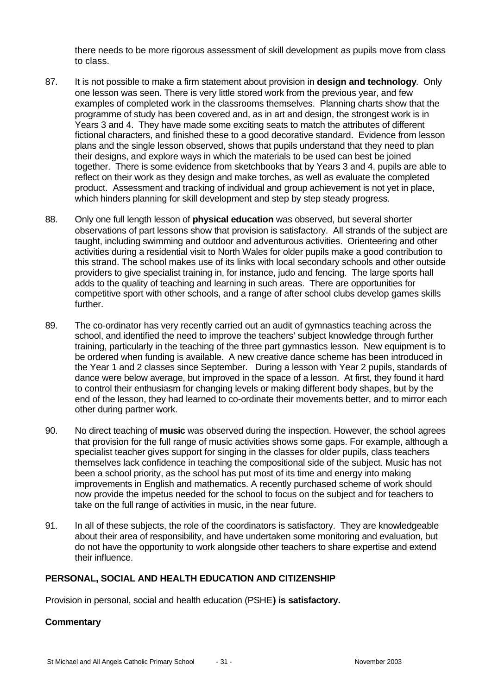there needs to be more rigorous assessment of skill development as pupils move from class to class.

- 87. It is not possible to make a firm statement about provision in **design and technology**. Only one lesson was seen. There is very little stored work from the previous year, and few examples of completed work in the classrooms themselves. Planning charts show that the programme of study has been covered and, as in art and design, the strongest work is in Years 3 and 4. They have made some exciting seats to match the attributes of different fictional characters, and finished these to a good decorative standard. Evidence from lesson plans and the single lesson observed, shows that pupils understand that they need to plan their designs, and explore ways in which the materials to be used can best be joined together. There is some evidence from sketchbooks that by Years 3 and 4, pupils are able to reflect on their work as they design and make torches, as well as evaluate the completed product. Assessment and tracking of individual and group achievement is not yet in place, which hinders planning for skill development and step by step steady progress.
- 88. Only one full length lesson of **physical education** was observed, but several shorter observations of part lessons show that provision is satisfactory. All strands of the subject are taught, including swimming and outdoor and adventurous activities. Orienteering and other activities during a residential visit to North Wales for older pupils make a good contribution to this strand. The school makes use of its links with local secondary schools and other outside providers to give specialist training in, for instance, judo and fencing. The large sports hall adds to the quality of teaching and learning in such areas. There are opportunities for competitive sport with other schools, and a range of after school clubs develop games skills further.
- 89. The co-ordinator has very recently carried out an audit of gymnastics teaching across the school, and identified the need to improve the teachers' subject knowledge through further training, particularly in the teaching of the three part gymnastics lesson. New equipment is to be ordered when funding is available. A new creative dance scheme has been introduced in the Year 1 and 2 classes since September. During a lesson with Year 2 pupils, standards of dance were below average, but improved in the space of a lesson. At first, they found it hard to control their enthusiasm for changing levels or making different body shapes, but by the end of the lesson, they had learned to co-ordinate their movements better, and to mirror each other during partner work.
- 90. No direct teaching of **music** was observed during the inspection. However, the school agrees that provision for the full range of music activities shows some gaps. For example, although a specialist teacher gives support for singing in the classes for older pupils, class teachers themselves lack confidence in teaching the compositional side of the subject. Music has not been a school priority, as the school has put most of its time and energy into making improvements in English and mathematics. A recently purchased scheme of work should now provide the impetus needed for the school to focus on the subject and for teachers to take on the full range of activities in music, in the near future.
- 91. In all of these subjects, the role of the coordinators is satisfactory. They are knowledgeable about their area of responsibility, and have undertaken some monitoring and evaluation, but do not have the opportunity to work alongside other teachers to share expertise and extend their influence.

# **PERSONAL, SOCIAL AND HEALTH EDUCATION AND CITIZENSHIP**

Provision in personal, social and health education (PSHE**) is satisfactory.**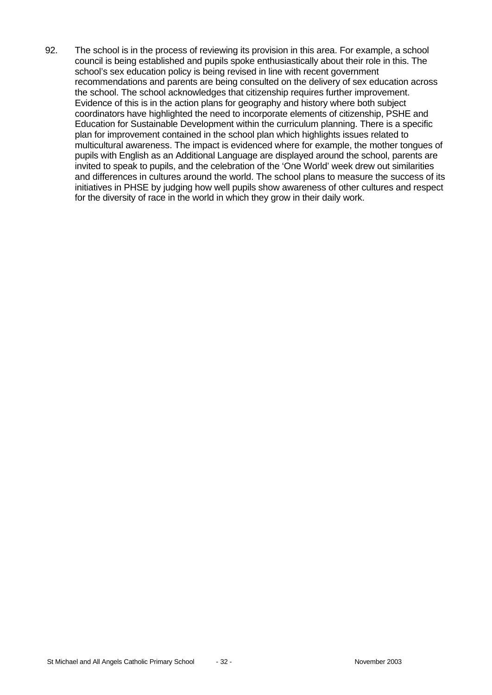92. The school is in the process of reviewing its provision in this area. For example, a school council is being established and pupils spoke enthusiastically about their role in this. The school's sex education policy is being revised in line with recent government recommendations and parents are being consulted on the delivery of sex education across the school. The school acknowledges that citizenship requires further improvement. Evidence of this is in the action plans for geography and history where both subject coordinators have highlighted the need to incorporate elements of citizenship, PSHE and Education for Sustainable Development within the curriculum planning. There is a specific plan for improvement contained in the school plan which highlights issues related to multicultural awareness. The impact is evidenced where for example, the mother tongues of pupils with English as an Additional Language are displayed around the school, parents are invited to speak to pupils, and the celebration of the 'One World' week drew out similarities and differences in cultures around the world. The school plans to measure the success of its initiatives in PHSE by judging how well pupils show awareness of other cultures and respect for the diversity of race in the world in which they grow in their daily work.